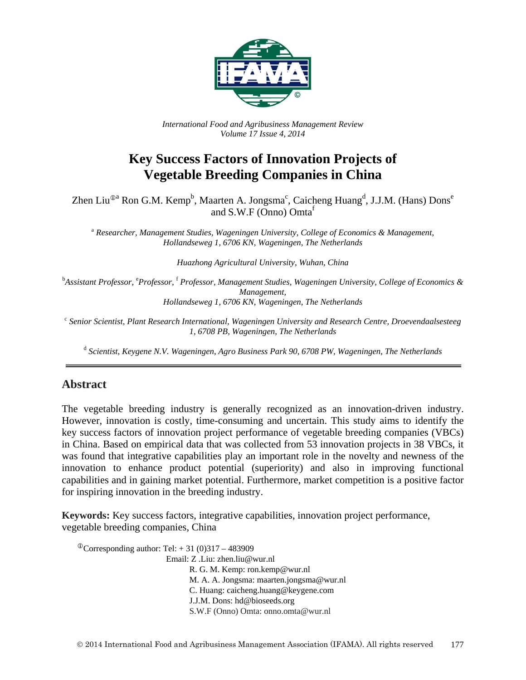

*International Food and Agribusiness Management Review Volume 17 Issue 4, 2014*

# **Key Success Factors of Innovation Projects of Vegetable Breeding Companies in China**

Zhen Liu®ª Ron G.M. Kempʰ, Maarten A. Jongsmaʿ, Caicheng Huangʰ, J.J.M. (Hans)  $\mathrm{Dons}^\mathrm{e}$ and S.W.F (Onno) Omta<sup>f</sup>

<sup>a</sup> *Researcher, Management Studies, Wageningen University, College of Economics & Management, Hollandseweg 1, 6706 KN, Wageningen, The Netherlands*

*Huazhong Agricultural University, Wuhan, China*

<sup>b</sup>Assistant Professor, <sup>e</sup>Professor, <sup>f</sup> Professor, Management Studies, Wageningen University, College of Economics & *Management, Hollandseweg 1, 6706 KN, Wageningen, The Netherlands*

<sup>c</sup> *Senior Scientist, Plant Research International, Wageningen University and Research Centre, Droevendaalsesteeg 1, 6708 PB, Wageningen, The Netherlands*

<sup>d</sup> *Scientist, Keygene N.V. Wageningen, Agro Business Park 90, 6708 PW, Wageningen, The Netherlands*

# **Abstract**

The vegetable breeding industry is generally recognized as an innovation-driven industry. However, innovation is costly, time-consuming and uncertain. This study aims to identify the key success factors of innovation project performance of vegetable breeding companies (VBCs) in China. Based on empirical data that was collected from 53 innovation projects in 38 VBCs, it was found that integrative capabilities play an important role in the novelty and newness of the innovation to enhance product potential (superiority) and also in improving functional capabilities and in gaining market potential. Furthermore, market competition is a positive factor for inspiring innovation in the breeding industry.

**Keywords:** Key success factors, integrative capabilities, innovation project performance, vegetable breeding companies, China

<sup>①</sup>Corresponding author: Tel:  $+31(0)317 - 483909$ Email: Z .Liu: zhen.liu@wur.nl R. G. M. Kemp: ron.kemp@wur.nl M. A. A. Jongsma: maarten.jongsma@wur.nl C. Huang: caicheng.huang@keygene.com J.J.M. Dons: hd@bioseeds.org S.W.F (Onno) Omta: onno.omta@wur.nl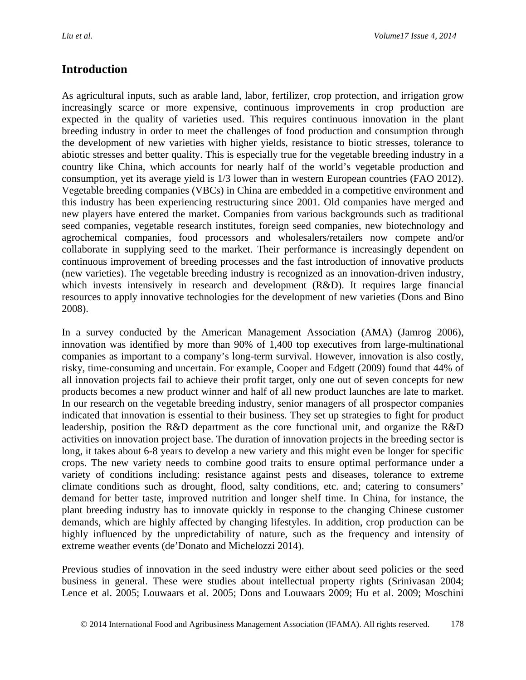# **Introduction**

As agricultural inputs, such as arable land, labor, fertilizer, crop protection, and irrigation grow increasingly scarce or more expensive, continuous improvements in crop production are expected in the quality of varieties used. This requires continuous innovation in the plant breeding industry in order to meet the challenges of food production and consumption through the development of new varieties with higher yields, resistance to biotic stresses, tolerance to abiotic stresses and better quality. This is especially true for the vegetable breeding industry in a country like China, which accounts for nearly half of the world's vegetable production and consumption, yet its average yield is 1/3 lower than in western European countries [\(FAO 2012\)](#page-19-0). Vegetable breeding companies (VBCs) in China are embedded in a competitive environment and this industry has been experiencing restructuring since 2001. Old companies have merged and new players have entered the market. Companies from various backgrounds such as traditional seed companies, vegetable research institutes, foreign seed companies, new biotechnology and agrochemical companies, food processors and wholesalers/retailers now compete and/or collaborate in supplying seed to the market. Their performance is increasingly dependent on continuous improvement of breeding processes and the fast introduction of innovative products (new varieties). The vegetable breeding industry is recognized as an innovation-driven industry, which invests intensively in research and development (R&D). It requires large financial resources to apply innovative technologies for the development of new varieties [\(Dons and Bino](#page-18-0)  [2008\)](#page-18-0).

In a survey conducted by the American Management Association (AMA) [\(Jamrog 2006\)](#page-20-0), innovation was identified by more than 90% of 1,400 top executives from large-multinational companies as important to a company's long-term survival. However, innovation is also costly, risky, time-consuming and uncertain. For example, Cooper and Edgett [\(2009\)](#page-18-1) found that 44% of all innovation projects fail to achieve their profit target, only one out of seven concepts for new products becomes a new product winner and half of all new product launches are late to market. In our research on the vegetable breeding industry, senior managers of all prospector companies indicated that innovation is essential to their business. They set up strategies to fight for product leadership, position the R&D department as the core functional unit, and organize the R&D activities on innovation project base. The duration of innovation projects in the breeding sector is long, it takes about 6-8 years to develop a new variety and this might even be longer for specific crops. The new variety needs to combine good traits to ensure optimal performance under a variety of conditions including: resistance against pests and diseases, tolerance to extreme climate conditions such as drought, flood, salty conditions, etc. and; catering to consumers' demand for better taste, improved nutrition and longer shelf time. In China, for instance, the plant breeding industry has to innovate quickly in response to the changing Chinese customer demands, which are highly affected by changing lifestyles. In addition, crop production can be highly influenced by the unpredictability of nature, such as the frequency and intensity of extreme weather events [\(de'Donato and Michelozzi 2014\)](#page-18-2).

Previous studies of innovation in the seed industry were either about seed policies or the seed business in general. These were studies about intellectual property rights [\(Srinivasan 2004;](#page-23-0) [Lence et al. 2005;](#page-21-0) [Louwaars et al. 2005;](#page-21-1) [Dons and Louwaars 2009;](#page-18-3) [Hu et al.](#page-20-1) 2009; [Moschini](#page-22-0)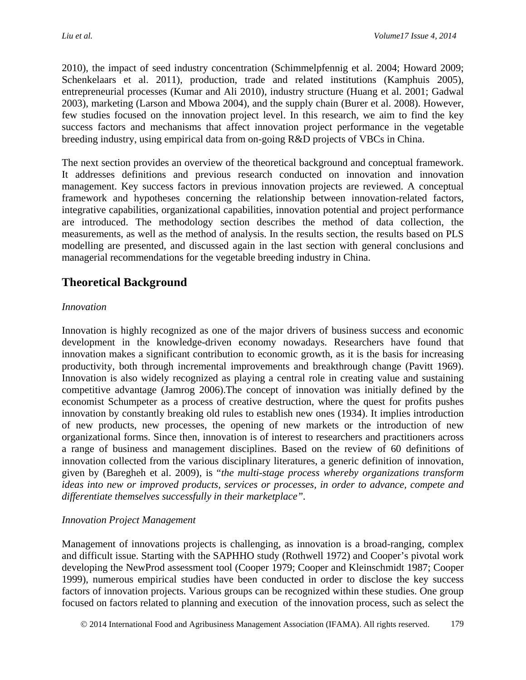[2010\)](#page-22-0), the impact of seed industry concentration [\(Schimmelpfennig et al. 2004;](#page-23-1) [Howard 2009;](#page-20-2) [Schenkelaars et al. 2011\)](#page-23-2), production, trade and related institutions [\(Kamphuis 2005\)](#page-20-3), entrepreneurial processes [\(Kumar and Ali 2010\)](#page-21-2), industry structure [\(Huang et al. 2001;](#page-20-4) [Gadwal](#page-19-1)  [2003\)](#page-19-1), marketing [\(Larson and Mbowa 2004\)](#page-21-3), and the supply chain [\(Burer et al. 2008\)](#page-18-4). However, few studies focused on the innovation project level. In this research, we aim to find the key success factors and mechanisms that affect innovation project performance in the vegetable breeding industry, using empirical data from on-going R&D projects of VBCs in China.

The next section provides an overview of the theoretical background and conceptual framework. It addresses definitions and previous research conducted on innovation and innovation management. Key success factors in previous innovation projects are reviewed. A conceptual framework and hypotheses concerning the relationship between innovation-related factors, integrative capabilities, organizational capabilities, innovation potential and project performance are introduced. The methodology section describes the method of data collection, the measurements, as well as the method of analysis. In the results section, the results based on PLS modelling are presented, and discussed again in the last section with general conclusions and managerial recommendations for the vegetable breeding industry in China.

# **Theoretical Background**

## *Innovation*

Innovation is highly recognized as one of the major drivers of business success and economic development in the knowledge-driven economy nowadays. Researchers have found that innovation makes a significant contribution to economic growth, as it is the basis for increasing productivity, both through incremental improvements and breakthrough change [\(Pavitt](#page-22-1) 1969). Innovation is also widely recognized as playing a central role in creating value and sustaining competitive advantage [\(Jamrog](#page-20-0) 2006).The concept of innovation was initially defined by the economist Schumpeter as a process of creative destruction, where the quest for profits pushes innovation by constantly breaking old rules to establish new ones [\(1934\)](#page-23-3). It implies introduction of new products, new processes, the opening of new markets or the introduction of new organizational forms. Since then, innovation is of interest to researchers and practitioners across a range of business and management disciplines. Based on the review of 60 definitions of innovation collected from the various disciplinary literatures, a generic definition of innovation, given by [\(Baregheh et al.](#page-17-0) 2009), is "*the multi-stage process whereby organizations transform ideas into new or improved products, services or processes, in order to advance, compete and differentiate themselves successfully in their marketplace".*

## *Innovation Project Management*

Management of innovations projects is challenging, as innovation is a broad-ranging, complex and difficult issue. Starting with the SAPHHO study [\(Rothwell 1972\)](#page-23-4) and Cooper's pivotal work developing the NewProd assessment tool [\(Cooper 1979;](#page-18-5) [Cooper and Kleinschmidt 1987;](#page-18-6) [Cooper](#page-18-7)  [1999\)](#page-18-7), numerous empirical studies have been conducted in order to disclose the key success factors of innovation projects. Various groups can be recognized within these studies. One group focused on factors related to planning and execution of the innovation process, such as select the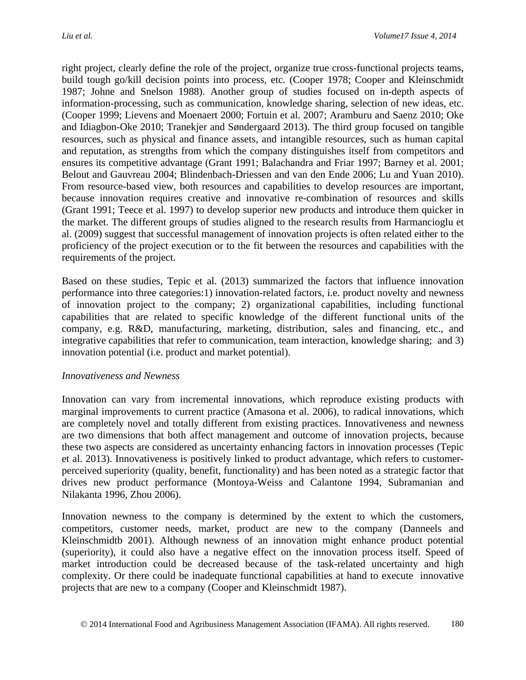right project, clearly define the role of the project, organize true cross-functional projects teams, build tough go/kill decision points into process, etc. [\(Cooper 1978;](#page-18-8) [Cooper and Kleinschmidt](#page-18-6)  [1987;](#page-18-6) [Johne and Snelson 1988\)](#page-20-5). Another group of studies focused on in-depth aspects of information-processing, such as communication, knowledge sharing, selection of new ideas, etc. [\(Cooper 1999;](#page-18-7) [Lievens and Moenaert 2000;](#page-21-4) [Fortuin et al. 2007;](#page-19-2) [Aramburu and Saenz 2010;](#page-17-1) [Oke](#page-22-2)  [and Idiagbon-Oke 2010;](#page-22-2) [Tranekjer and Søndergaard 2013\)](#page-24-0). The third group focused on tangible resources, such as physical and finance assets, and intangible resources, such as human capital and reputation, as strengths from which the company distinguishes itself from competitors and ensures its competitive advantage [\(Grant 1991;](#page-19-3) [Balachandra and Friar 1997;](#page-17-2) [Barney et al. 2001;](#page-17-3) [Belout and Gauvreau 2004;](#page-17-4) [Blindenbach-Driessen and van den Ende 2006;](#page-17-5) [Lu and Yuan 2010\)](#page-22-3). From resource-based view, both resources and capabilities to develop resources are important, because innovation requires creative and innovative re-combination of resources and skills [\(Grant 1991;](#page-19-3) [Teece et al. 1997\)](#page-23-5) to develop superior new products and introduce them quicker in the market. The different groups of studies aligned to the research results from [Harmancioglu et](#page-20-6)  [al. \(2009\)](#page-20-6) suggest that successful management of innovation projects is often related either to the proficiency of the project execution or to the fit between the resources and capabilities with the requirements of the project.

Based on these studies, [Tepic et al. \(2013\)](#page-24-1) summarized the factors that influence innovation performance into three categories:1) innovation-related factors, i.e. product novelty and newness of innovation project to the company; 2) organizational capabilities, including functional capabilities that are related to specific knowledge of the different functional units of the company, e.g. R&D, manufacturing, marketing, distribution, sales and financing, etc., and integrative capabilities that refer to communication, team interaction, knowledge sharing; and 3) innovation potential (i.e. product and market potential).

#### *Innovativeness and Newness*

Innovation can vary from incremental innovations, which reproduce existing products with marginal improvements to current practice [\(Amasona et al. 2006\)](#page-17-6), to radical innovations, which are completely novel and totally different from existing practices. Innovativeness and newness are two dimensions that both affect management and outcome of innovation projects, because these two aspects are considered as uncertainty enhancing factors in innovation processes [\(Tepic](#page-24-1)  [et al. 2013\)](#page-24-1). Innovativeness is positively linked to product advantage, which refers to customerperceived superiority (quality, benefit, functionality) and has been noted as a strategic factor that drives new product performance [\(Montoya-Weiss and Calantone](#page-22-4) 1994, [Subramanian and](#page-23-6)  [Nilakanta 1996,](#page-23-6) [Zhou 2006\)](#page-24-2).

Innovation newness to the company is determined by the extent to which the customers, competitors, customer needs, market, product are new to the company [\(Danneels and](#page-18-9)  [Kleinschmidtb 2001\)](#page-18-9). Although newness of an innovation might enhance product potential (superiority), it could also have a negative effect on the innovation process itself. Speed of market introduction could be decreased because of the task-related uncertainty and high complexity. Or there could be inadequate functional capabilities at hand to execute innovative projects that are new to a company [\(Cooper and Kleinschmidt 1987\)](#page-18-6).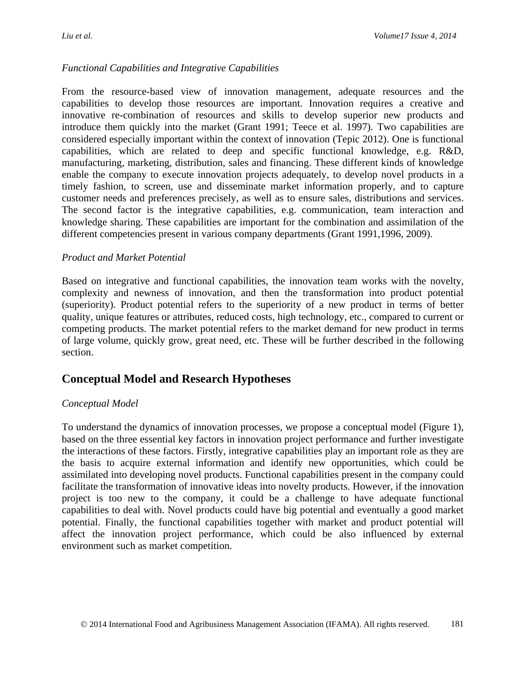## *Functional Capabilities and Integrative Capabilities*

From the resource-based view of innovation management, adequate resources and the capabilities to develop those resources are important. Innovation requires a creative and innovative re-combination of resources and skills to develop superior new products and introduce them quickly into the market [\(Grant 1991;](#page-19-3) [Teece et al. 1997\)](#page-23-5). Two capabilities are considered especially important within the context of innovation [\(Tepic 2012\)](#page-23-7). One is functional capabilities, which are related to deep and specific functional knowledge, e.g. R&D, manufacturing, marketing, distribution, sales and financing. These different kinds of knowledge enable the company to execute innovation projects adequately, to develop novel products in a timely fashion, to screen, use and disseminate market information properly, and to capture customer needs and preferences precisely, as well as to ensure sales, distributions and services. The second factor is the integrative capabilities, e.g. communication, team interaction and knowledge sharing. These capabilities are important for the combination and assimilation of the different competencies present in various company departments [\(Grant 1991,](#page-19-3)1996, [2009\)](#page-19-4).

#### *Product and Market Potential*

Based on integrative and functional capabilities, the innovation team works with the novelty, complexity and newness of innovation, and then the transformation into product potential (superiority). Product potential refers to the superiority of a new product in terms of better quality, unique features or attributes, reduced costs, high technology, etc., compared to current or competing products. The market potential refers to the market demand for new product in terms of large volume, quickly grow, great need, etc. These will be further described in the following section.

# **Conceptual Model and Research Hypotheses**

#### *Conceptual Model*

To understand the dynamics of innovation processes, we propose a conceptual model (Figure 1), based on the three essential key factors in innovation project performance and further investigate the interactions of these factors. Firstly, integrative capabilities play an important role as they are the basis to acquire external information and identify new opportunities, which could be assimilated into developing novel products. Functional capabilities present in the company could facilitate the transformation of innovative ideas into novelty products. However, if the innovation project is too new to the company, it could be a challenge to have adequate functional capabilities to deal with. Novel products could have big potential and eventually a good market potential. Finally, the functional capabilities together with market and product potential will affect the innovation project performance, which could be also influenced by external environment such as market competition.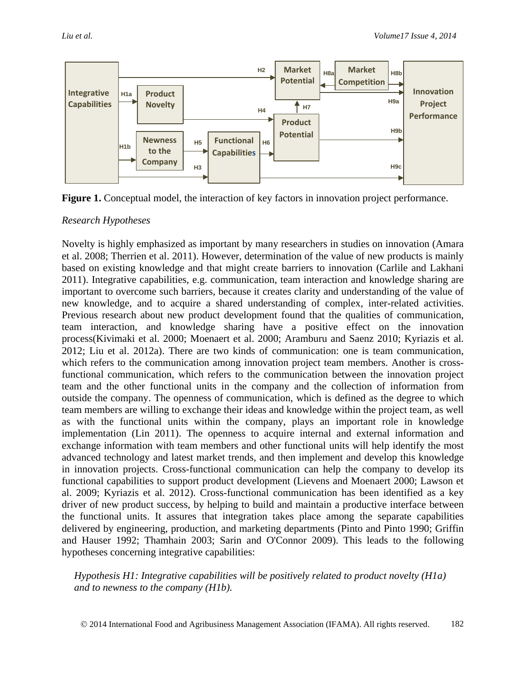

**Figure 1.** Conceptual model, the interaction of key factors in innovation project performance.

## *Research Hypotheses*

Novelty is highly emphasized as important by many researchers in studies on innovation [\(Amara](#page-17-7)  [et al. 2008;](#page-17-7) [Therrien et al. 2011\)](#page-24-3). However, determination of the value of new products is mainly based on existing knowledge and that might create barriers to innovation [\(Carlile and](#page-18-10) Lakhani [2011\)](#page-18-10). Integrative capabilities, e.g. communication, team interaction and knowledge sharing are important to overcome such barriers, because it creates clarity and understanding of the value of new knowledge, and to acquire a shared understanding of complex, inter-related activities. Previous research about new product development found that the qualities of communication, team interaction, and knowledge sharing have a positive effect on the innovation process[\(Kivimaki et al. 2000;](#page-20-7) [Moenaert et al. 2000;](#page-22-5) [Aramburu and Saenz 2010;](#page-17-1) [Kyriazis et al.](#page-21-5)  [2012;](#page-21-5) [Liu et al. 2012a\)](#page-21-6). There are two kinds of communication: one is team communication, which refers to the communication among innovation project team members. Another is crossfunctional communication, which refers to the communication between the innovation project team and the other functional units in the company and the collection of information from outside the company. The openness of communication, which is defined as the degree to which team members are willing to exchange their ideas and knowledge within the project team, as well as with the functional units within the company, plays an important role in knowledge implementation [\(Lin 2011\)](#page-21-7). The openness to acquire internal and external information and exchange information with team members and other functional units will help identify the most advanced technology and latest market trends, and then implement and develop this knowledge in innovation projects. Cross-functional communication can help the company to develop its functional capabilities to support product development [\(Lievens and Moenaert 2000;](#page-21-4) [Lawson et](#page-21-8)  al. [2009;](#page-21-8) [Kyriazis et al. 2012\)](#page-21-5). Cross-functional communication has been identified as a key driver of new product success, by helping to build and maintain a productive interface between the functional units. It assures that integration takes place among the separate capabilities delivered by engineering, production, and marketing departments [\(Pinto and Pinto 1990;](#page-22-6) [Griffin](#page-19-5)  [and Hauser 1992;](#page-19-5) [Thamhain 2003;](#page-24-4) [Sarin and O'Connor](#page-23-8) 2009). This leads to the following hypotheses concerning integrative capabilities:

*Hypothesis H1: Integrative capabilities will be positively related to product novelty (H1a) and to newness to the company (H1b).*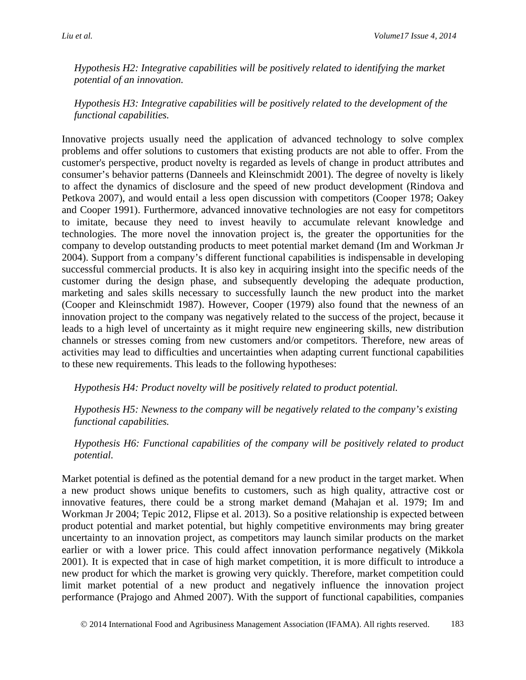*Hypothesis H2: Integrative capabilities will be positively related to identifying the market potential of an innovation.* 

*Hypothesis H3: Integrative capabilities will be positively related to the development of the functional capabilities.*

Innovative projects usually need the application of advanced technology to solve complex problems and offer solutions to customers that existing products are not able to offer. From the customer's perspective, product novelty is regarded as levels of change in product attributes and consumer's behavior patterns [\(Danneels and Kleinschmidt](#page-18-9) 2001). The degree of novelty is likely to affect the dynamics of disclosure and the speed of new product development [\(Rindova and](#page-23-9)  [Petkova 2007\)](#page-23-9), and would entail a less open discussion with competitors [\(Cooper 1978;](#page-18-8) [Oakey](#page-22-7)  [and Cooper 1991\)](#page-22-7). Furthermore, advanced innovative technologies are not easy for competitors to imitate, because they need to invest heavily to accumulate relevant knowledge and technologies. The more novel the innovation project is, the greater the opportunities for the company to develop outstanding products to meet potential market demand [\(Im and Workman Jr](#page-20-8)  [2004\)](#page-20-8). Support from a company's different functional capabilities is indispensable in developing successful commercial products. It is also key in acquiring insight into the specific needs of the customer during the design phase, and subsequently developing the adequate production, marketing and sales skills necessary to successfully launch the new product into the market [\(Cooper and Kleinschmidt 1987\)](#page-18-6). However, Cooper [\(1979\)](#page-18-5) also found that the newness of an innovation project to the company was negatively related to the success of the project, because it leads to a high level of uncertainty as it might require new engineering skills, new distribution channels or stresses coming from new customers and/or competitors. Therefore, new areas of activities may lead to difficulties and uncertainties when adapting current functional capabilities to these new requirements. This leads to the following hypotheses:

*Hypothesis H4: Product novelty will be positively related to product potential.*

*Hypothesis H5: Newness to the company will be negatively related to the company's existing functional capabilities.*

*Hypothesis H6: Functional capabilities of the company will be positively related to product potential.* 

Market potential is defined as the potential demand for a new product in the target market. When a new product shows unique benefits to customers, such as high quality, attractive cost or innovative features, there could be a strong market demand [\(Mahajan et al. 1979;](#page-22-8) [Im and](#page-20-8)  [Workman Jr 2004;](#page-20-8) [Tepic 2012,](#page-23-7) [Flipse et al. 2013\)](#page-19-6). So a positive relationship is expected between product potential and market potential, but highly competitive environments may bring greater uncertainty to an innovation project, as competitors may launch similar products on the market earlier or with a lower price. This could affect innovation performance negatively [\(Mikkola](#page-22-9)  [2001\)](#page-22-9). It is expected that in case of high market competition, it is more difficult to introduce a new product for which the market is growing very quickly. Therefore, market competition could limit market potential of a new product and negatively influence the innovation project performance [\(Prajogo and Ahmed](#page-23-10) 2007). With the support of functional capabilities, companies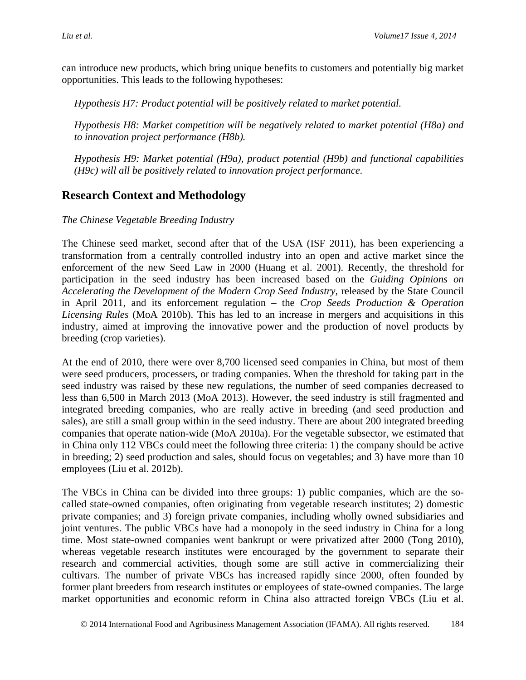can introduce new products, which bring unique benefits to customers and potentially big market opportunities. This leads to the following hypotheses:

*Hypothesis H7: Product potential will be positively related to market potential.* 

*Hypothesis H8: Market competition will be negatively related to market potential (H8a) and to innovation project performance (H8b).*

*Hypothesis H9: Market potential (H9a), product potential (H9b) and functional capabilities (H9c) will all be positively related to innovation project performance.* 

# **Research Context and Methodology**

## *The Chinese Vegetable Breeding Industry*

The Chinese seed market, second after that of the USA [\(ISF 2011\)](#page-20-9), has been experiencing a transformation from a centrally controlled industry into an open and active market since the enforcement of the new Seed Law in 2000 [\(Huang et al.](#page-20-4) 2001). Recently, the threshold for participation in the seed industry has been increased based on the *Guiding Opinions on Accelerating the Development of the Modern Crop Seed Industry*, released by the State Council in April 2011, and its enforcement regulation – the *Crop Seeds Production & Operation Licensing Rules* (MoA [2010b\)](#page-22-10). This has led to an increase in mergers and acquisitions in this industry, aimed at improving the innovative power and the production of novel products by breeding (crop varieties).

At the end of 2010, there were over 8,700 licensed seed companies in China, but most of them were seed producers, processers, or trading companies. When the threshold for taking part in the seed industry was raised by these new regulations, the number of seed companies decreased to less than 6,500 in March 2013 [\(MoA 2013\)](#page-22-11). However, the seed industry is still fragmented and integrated breeding companies, who are really active in breeding (and seed production and sales), are still a small group within in the seed industry. There are about 200 integrated breeding companies that operate nation-wide [\(MoA 2010a\)](#page-22-12). For the vegetable subsector, we estimated that in China only 112 VBCs could meet the following three criteria: 1) the company should be active in breeding; 2) seed production and sales, should focus on vegetables; and 3) have more than 10 employees (Liu et al. 2012b).

The VBCs in China can be divided into three groups: 1) public companies, which are the socalled state-owned companies, often originating from vegetable research institutes; 2) domestic private companies; and 3) foreign private companies, including wholly owned subsidiaries and joint ventures. The public VBCs have had a monopoly in the seed industry in China for a long time. Most state-owned companies went bankrupt or were privatized after 2000 [\(Tong 2010\)](#page-24-5), whereas vegetable research institutes were encouraged by the government to separate their research and commercial activities, though some are still active in commercializing their cultivars. The number of private VBCs has increased rapidly since 2000, often founded by former plant breeders from research institutes or employees of state-owned companies. The large market opportunities and economic reform in China also attracted foreign VBCs (Liu et al.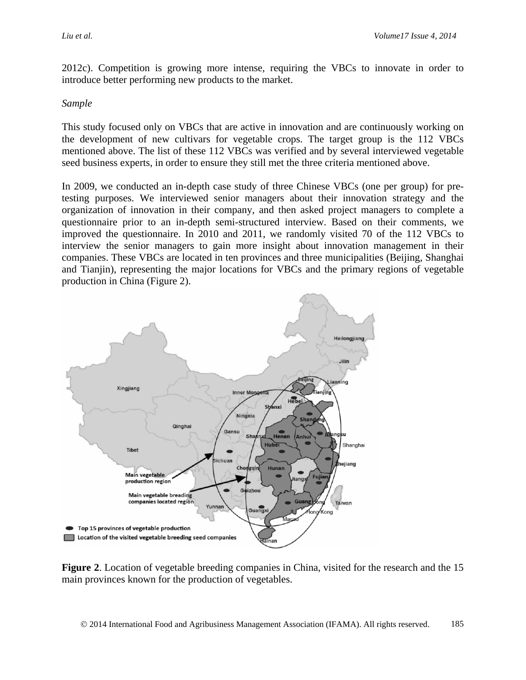2012c). Competition is growing more intense, requiring the VBCs to innovate in order to introduce better performing new products to the market.

#### *Sample*

This study focused only on VBCs that are active in innovation and are continuously working on the development of new cultivars for vegetable crops. The target group is the 112 VBCs mentioned above. The list of these 112 VBCs was verified and by several interviewed vegetable seed business experts, in order to ensure they still met the three criteria mentioned above.

In 2009, we conducted an in-depth case study of three Chinese VBCs (one per group) for pretesting purposes. We interviewed senior managers about their innovation strategy and the organization of innovation in their company, and then asked project managers to complete a questionnaire prior to an in-depth semi-structured interview. Based on their comments, we improved the questionnaire. In 2010 and 2011, we randomly visited 70 of the 112 VBCs to interview the senior managers to gain more insight about innovation management in their companies. These VBCs are located in ten provinces and three municipalities (Beijing, Shanghai and Tianjin), representing the major locations for VBCs and the primary regions of vegetable production in China (Figure 2).



**Figure 2**. Location of vegetable breeding companies in China, visited for the research and the 15 main provinces known for the production of vegetables.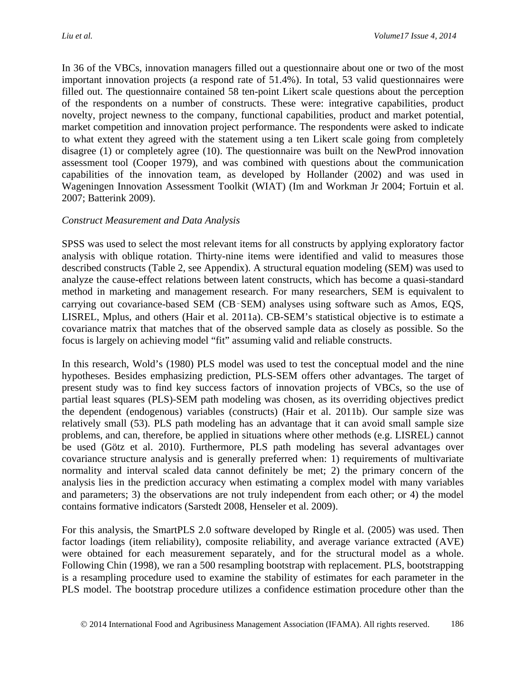In 36 of the VBCs, innovation managers filled out a questionnaire about one or two of the most important innovation projects (a respond rate of 51.4%). In total, 53 valid questionnaires were filled out. The questionnaire contained 58 ten-point Likert scale questions about the perception of the respondents on a number of constructs. These were: integrative capabilities, product novelty, project newness to the company, functional capabilities, product and market potential, market competition and innovation project performance. The respondents were asked to indicate to what extent they agreed with the statement using a ten Likert scale going from completely disagree (1) or completely agree (10). The questionnaire was built on the NewProd innovation assessment tool [\(Cooper 1979\)](#page-18-5), and was combined with questions about the communication capabilities of the innovation team, as developed by Hollander [\(2002\)](#page-20-10) and was used in Wageningen Innovation Assessment Toolkit (WIAT) [\(Im and Workman Jr 2004;](#page-20-8) [Fortuin et al.](#page-19-2)  [2007;](#page-19-2) [Batterink 2009\)](#page-17-8).

#### *Construct Measurement and Data Analysis*

SPSS was used to select the most relevant items for all constructs by applying exploratory factor analysis with oblique rotation. Thirty-nine items were identified and valid to measures those described constructs (Table 2, see Appendix). A structural equation modeling (SEM) was used to analyze the cause-effect relations between latent constructs, which has become a quasi-standard method in marketing and management research. For many researchers, SEM is equivalent to carrying out covariance-based SEM (CB‑SEM) analyses using software such as Amos, EQS, LISREL, Mplus, and others [\(Hair et al.](#page-19-7) 2011a). CB-SEM's statistical objective is to estimate a covariance matrix that matches that of the observed sample data as closely as possible. So the focus is largely on achieving model "fit" assuming valid and reliable constructs.

In this research, Wold's [\(1980\)](#page-24-6) PLS model was used to test the conceptual model and the nine hypotheses. Besides emphasizing prediction, PLS-SEM offers other advantages. The target of present study was to find key success factors of innovation projects of VBCs, so the use of partial least squares (PLS)-SEM path modeling was chosen, as its overriding objectives predict the dependent (endogenous) variables (constructs) [\(Hair et al.](#page-19-8) 2011b). Our sample size was relatively small (53). PLS path modeling has an advantage that it can avoid small sample size problems, and can, therefore, be applied in situations where other methods (e.g. LISREL) cannot be used [\(Götz et al. 2010\)](#page-19-9). Furthermore, PLS path modeling has several advantages over covariance structure analysis and is generally preferred when: 1) requirements of multivariate normality and interval scaled data cannot definitely be met; 2) the primary concern of the analysis lies in the prediction accuracy when estimating a complex model with many variables and parameters; 3) the observations are not truly independent from each other; or 4) the model contains formative indicators [\(Sarstedt 2008,](#page-23-11) [Henseler et al. 2009\)](#page-20-11).

For this analysis, the SmartPLS 2.0 software developed by [Ringle et al. \(2005\)](#page-23-12) was used. Then factor loadings (item reliability), composite reliability, and average variance extracted (AVE) were obtained for each measurement separately, and for the structural model as a whole. Following Chin [\(1998\)](#page-18-11), we ran a 500 resampling bootstrap with replacement. PLS, bootstrapping is a resampling procedure used to examine the stability of estimates for each parameter in the PLS model. The bootstrap procedure utilizes a confidence estimation procedure other than the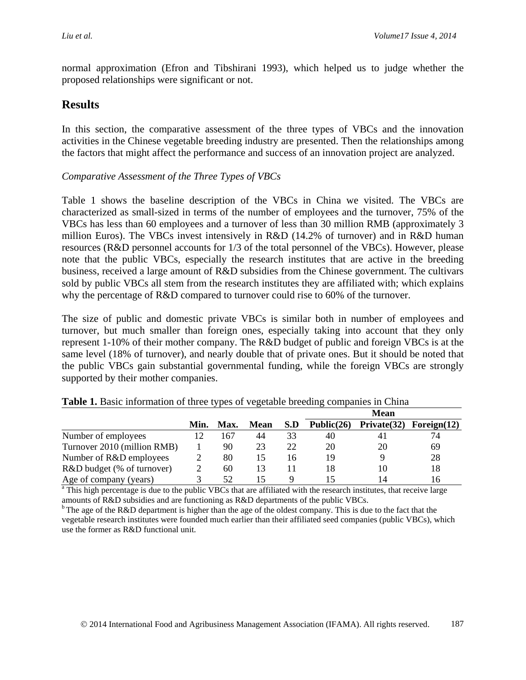normal approximation [\(Efron and Tibshirani 1993\)](#page-18-12), which helped us to judge whether the proposed relationships were significant or not.

# **Results**

In this section, the comparative assessment of the three types of VBCs and the innovation activities in the Chinese vegetable breeding industry are presented. Then the relationships among the factors that might affect the performance and success of an innovation project are analyzed.

## *Comparative Assessment of the Three Types of VBCs*

Table 1 shows the baseline description of the VBCs in China we visited. The VBCs are characterized as small-sized in terms of the number of employees and the turnover, 75% of the VBCs has less than 60 employees and a turnover of less than 30 million RMB (approximately 3 million Euros). The VBCs invest intensively in R&D (14.2% of turnover) and in R&D human resources (R&D personnel accounts for 1/3 of the total personnel of the VBCs). However, please note that the public VBCs, especially the research institutes that are active in the breeding business, received a large amount of R&D subsidies from the Chinese government. The cultivars sold by public VBCs all stem from the research institutes they are affiliated with; which explains why the percentage of R&D compared to turnover could rise to 60% of the turnover.

The size of public and domestic private VBCs is similar both in number of employees and turnover, but much smaller than foreign ones, especially taking into account that they only represent 1-10% of their mother company. The R&D budget of public and foreign VBCs is at the same level (18% of turnover), and nearly double that of private ones. But it should be noted that the public VBCs gain substantial governmental funding, while the foreign VBCs are strongly supported by their mother companies.

|                             |      |      |      |     |               | <b>Mean</b> |                |
|-----------------------------|------|------|------|-----|---------------|-------------|----------------|
|                             | Min. | Max. | Mean | S.D | Public $(26)$ | Private(32) | Foreign $(12)$ |
| Number of employees         |      | -67  | 44   | 33  | 40            | 41          | 74             |
| Turnover 2010 (million RMB) |      | 90   | 23   | 22  | 20            | 20          | 69             |
| Number of R&D employees     |      | 80   | 15   | 16  | 19            |             | 28             |
| R&D budget (% of turnover)  |      | 60   | 13   |     | 18            | 10          | 18             |
| Age of company (years)      |      | 52   |      |     |               | 14          | 16             |

<sup>a</sup> This high percentage is due to the public VBCs that are affiliated with the research institutes, that receive large amounts of R&D subsidies and are functioning as R&D departments of the public VBCs.<br><sup>b</sup> The age of the R&D department is higher than the age of the oldest company. This is due to the fact that the

vegetable research institutes were founded much earlier than their affiliated seed companies (public VBCs), which use the former as R&D functional unit.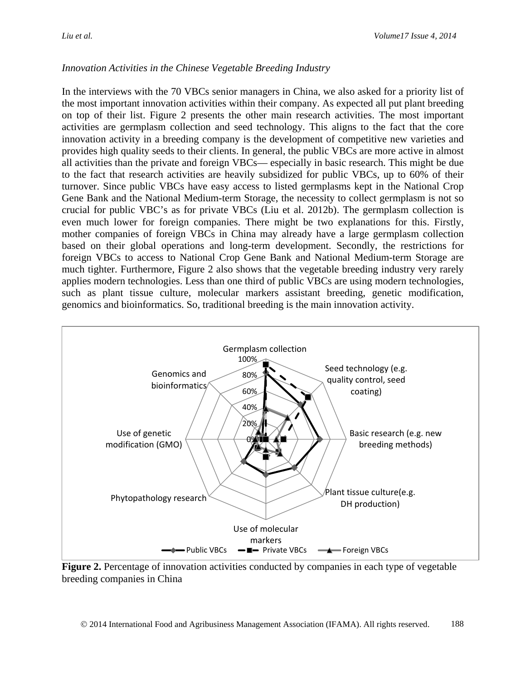## *Innovation Activities in the Chinese Vegetable Breeding Industry*

In the interviews with the 70 VBCs senior managers in China, we also asked for a priority list of the most important innovation activities within their company. As expected all put plant breeding on top of their list. Figure 2 presents the other main research activities. The most important activities are germplasm collection and seed technology. This aligns to the fact that the core innovation activity in a breeding company is the development of competitive new varieties and provides high quality seeds to their clients. In general, the public VBCs are more active in almost all activities than the private and foreign VBCs— especially in basic research. This might be due to the fact that research activities are heavily subsidized for public VBCs, up to 60% of their turnover. Since public VBCs have easy access to listed germplasms kept in the National Crop Gene Bank and the National Medium-term Storage, the necessity to collect germplasm is not so crucial for public VBC's as for private VBCs (Liu et al. 2012b). The germplasm collection is even much lower for foreign companies. There might be two explanations for this. Firstly, mother companies of foreign VBCs in China may already have a large germplasm collection based on their global operations and long-term development. Secondly, the restrictions for foreign VBCs to access to National Crop Gene Bank and National Medium-term Storage are much tighter. Furthermore, Figure 2 also shows that the vegetable breeding industry very rarely applies modern technologies. Less than one third of public VBCs are using modern technologies, such as plant tissue culture, molecular markers assistant breeding, genetic modification, genomics and bioinformatics. So, traditional breeding is the main innovation activity.



**Figure 2.** Percentage of innovation activities conducted by companies in each type of vegetable breeding companies in China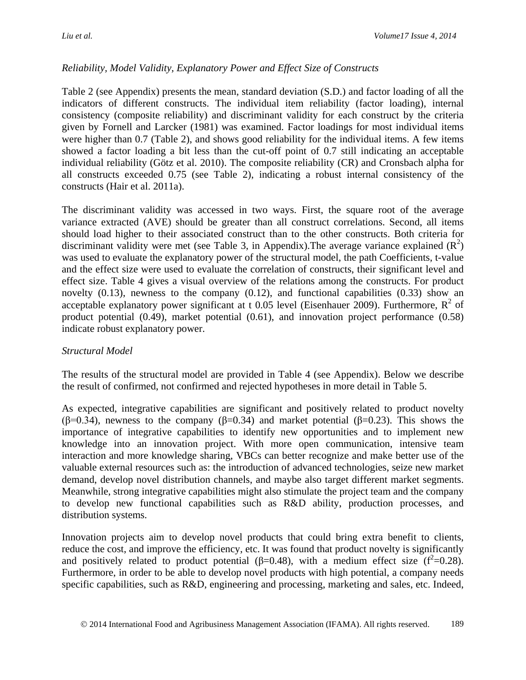## *Reliability, Model Validity, Explanatory Power and Effect Size of Constructs*

Table 2 (see Appendix) presents the mean, standard deviation (S.D.) and factor loading of all the indicators of different constructs. The individual item reliability (factor loading), internal consistency (composite reliability) and discriminant validity for each construct by the criteria given by Fornell and Larcker [\(1981\)](#page-19-10) was examined. Factor loadings for most individual items were higher than 0.7 (Table 2), and shows good reliability for the individual items. A few items showed a factor loading a bit less than the cut-off point of 0.7 still indicating an acceptable individual reliability [\(Götz et al. 2010\)](#page-19-9). The composite reliability (CR) and Cronsbach alpha for all constructs exceeded 0.75 (see Table 2), indicating a robust internal consistency of the constructs [\(Hair et al. 2011a\)](#page-19-7).

The discriminant validity was accessed in two ways. First, the square root of the average variance extracted (AVE) should be greater than all construct correlations. Second, all items should load higher to their associated construct than to the other constructs. Both criteria for discriminant validity were met (see Table 3, in Appendix). The average variance explained  $(R^2)$ was used to evaluate the explanatory power of the structural model, the path Coefficients, t-value and the effect size were used to evaluate the correlation of constructs, their significant level and effect size. Table 4 gives a visual overview of the relations among the constructs. For product novelty (0.13), newness to the company (0.12), and functional capabilities (0.33) show an acceptable explanatory power significant at t 0.05 level [\(Eisenhauer 2009\)](#page-19-11). Furthermore,  $R^2$  of product potential (0.49), market potential (0.61), and innovation project performance (0.58) indicate robust explanatory power.

#### *Structural Model*

The results of the structural model are provided in Table 4 (see Appendix). Below we describe the result of confirmed, not confirmed and rejected hypotheses in more detail in Table 5.

As expected, integrative capabilities are significant and positively related to product novelty ( $\beta$ =0.34), newness to the company ( $\beta$ =0.34) and market potential ( $\beta$ =0.23). This shows the importance of integrative capabilities to identify new opportunities and to implement new knowledge into an innovation project. With more open communication, intensive team interaction and more knowledge sharing, VBCs can better recognize and make better use of the valuable external resources such as: the introduction of advanced technologies, seize new market demand, develop novel distribution channels, and maybe also target different market segments. Meanwhile, strong integrative capabilities might also stimulate the project team and the company to develop new functional capabilities such as R&D ability, production processes, and distribution systems.

Innovation projects aim to develop novel products that could bring extra benefit to clients, reduce the cost, and improve the efficiency, etc. It was found that product novelty is significantly and positively related to product potential ( $\beta$ =0.48), with a medium effect size ( $f^2$ =0.28). Furthermore, in order to be able to develop novel products with high potential, a company needs specific capabilities, such as R&D, engineering and processing, marketing and sales, etc. Indeed,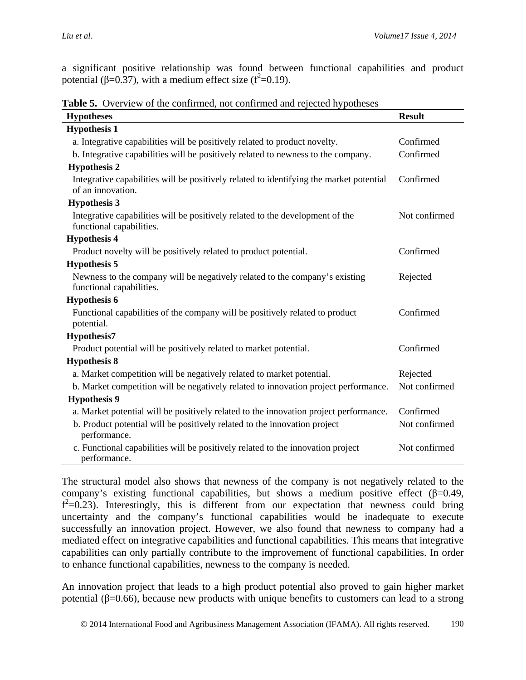a significant positive relationship was found between functional capabilities and product potential (β=0.37), with a medium effect size ( $f^2$ =0.19).

**Table 5.** Overview of the confirmed, not confirmed and rejected hypotheses

| <b>Hypotheses</b>                                                                                            | <b>Result</b> |
|--------------------------------------------------------------------------------------------------------------|---------------|
| <b>Hypothesis 1</b>                                                                                          |               |
| a. Integrative capabilities will be positively related to product novelty.                                   | Confirmed     |
| b. Integrative capabilities will be positively related to newness to the company.                            | Confirmed     |
| <b>Hypothesis 2</b>                                                                                          |               |
| Integrative capabilities will be positively related to identifying the market potential<br>of an innovation. | Confirmed     |
| <b>Hypothesis 3</b>                                                                                          |               |
| Integrative capabilities will be positively related to the development of the<br>functional capabilities.    | Not confirmed |
| <b>Hypothesis 4</b>                                                                                          |               |
| Product novelty will be positively related to product potential.                                             | Confirmed     |
| <b>Hypothesis 5</b>                                                                                          |               |
| Newness to the company will be negatively related to the company's existing<br>functional capabilities.      | Rejected      |
| <b>Hypothesis 6</b>                                                                                          |               |
| Functional capabilities of the company will be positively related to product<br>potential.                   | Confirmed     |
| <b>Hypothesis7</b>                                                                                           |               |
| Product potential will be positively related to market potential.                                            | Confirmed     |
| <b>Hypothesis 8</b>                                                                                          |               |
| a. Market competition will be negatively related to market potential.                                        | Rejected      |
| b. Market competition will be negatively related to innovation project performance.                          | Not confirmed |
| <b>Hypothesis 9</b>                                                                                          |               |
| a. Market potential will be positively related to the innovation project performance.                        | Confirmed     |
| b. Product potential will be positively related to the innovation project<br>performance.                    | Not confirmed |
| c. Functional capabilities will be positively related to the innovation project<br>performance.              | Not confirmed |

The structural model also shows that newness of the company is not negatively related to the company's existing functional capabilities, but shows a medium positive effect  $(\beta=0.49, \gamma)$  $f^2$ =0.23). Interestingly, this is different from our expectation that newness could bring uncertainty and the company's functional capabilities would be inadequate to execute successfully an innovation project. However, we also found that newness to company had a mediated effect on integrative capabilities and functional capabilities. This means that integrative capabilities can only partially contribute to the improvement of functional capabilities. In order to enhance functional capabilities, newness to the company is needed.

An innovation project that leads to a high product potential also proved to gain higher market potential ( $β=0.66$ ), because new products with unique benefits to customers can lead to a strong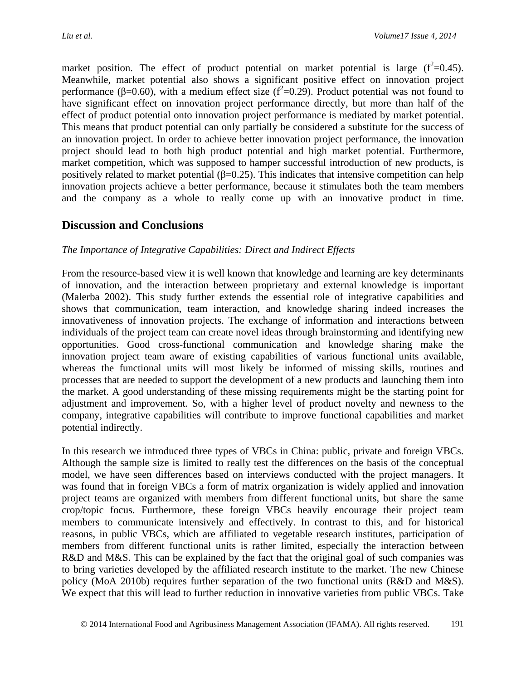market position. The effect of product potential on market potential is large  $(f^2=0.45)$ . Meanwhile, market potential also shows a significant positive effect on innovation project performance (β=0.60), with a medium effect size ( $f^2$ =0.29). Product potential was not found to have significant effect on innovation project performance directly, but more than half of the effect of product potential onto innovation project performance is mediated by market potential. This means that product potential can only partially be considered a substitute for the success of an innovation project. In order to achieve better innovation project performance, the innovation project should lead to both high product potential and high market potential. Furthermore, market competition, which was supposed to hamper successful introduction of new products, is positively related to market potential ( $\beta$ =0.25). This indicates that intensive competition can help innovation projects achieve a better performance, because it stimulates both the team members and the company as a whole to really come up with an innovative product in time.

# **Discussion and Conclusions**

#### *The Importance of Integrative Capabilities: Direct and Indirect Effects*

From the resource-based view it is well known that knowledge and learning are key determinants of innovation, and the interaction between proprietary and external knowledge is important [\(Malerba 2002\)](#page-22-13). This study further extends the essential role of integrative capabilities and shows that communication, team interaction, and knowledge sharing indeed increases the innovativeness of innovation projects. The exchange of information and interactions between individuals of the project team can create novel ideas through brainstorming and identifying new opportunities. Good cross-functional communication and knowledge sharing make the innovation project team aware of existing capabilities of various functional units available, whereas the functional units will most likely be informed of missing skills, routines and processes that are needed to support the development of a new products and launching them into the market. A good understanding of these missing requirements might be the starting point for adjustment and improvement. So, with a higher level of product novelty and newness to the company, integrative capabilities will contribute to improve functional capabilities and market potential indirectly.

In this research we introduced three types of VBCs in China: public, private and foreign VBCs. Although the sample size is limited to really test the differences on the basis of the conceptual model, we have seen differences based on interviews conducted with the project managers. It was found that in foreign VBCs a form of matrix organization is widely applied and innovation project teams are organized with members from different functional units, but share the same crop/topic focus. Furthermore, these foreign VBCs heavily encourage their project team members to communicate intensively and effectively. In contrast to this, and for historical reasons, in public VBCs, which are affiliated to vegetable research institutes, participation of members from different functional units is rather limited, especially the interaction between R&D and M&S. This can be explained by the fact that the original goal of such companies was to bring varieties developed by the affiliated research institute to the market. The new Chinese policy [\(MoA 2010b\)](#page-22-10) requires further separation of the two functional units (R&D and M&S). We expect that this will lead to further reduction in innovative varieties from public VBCs. Take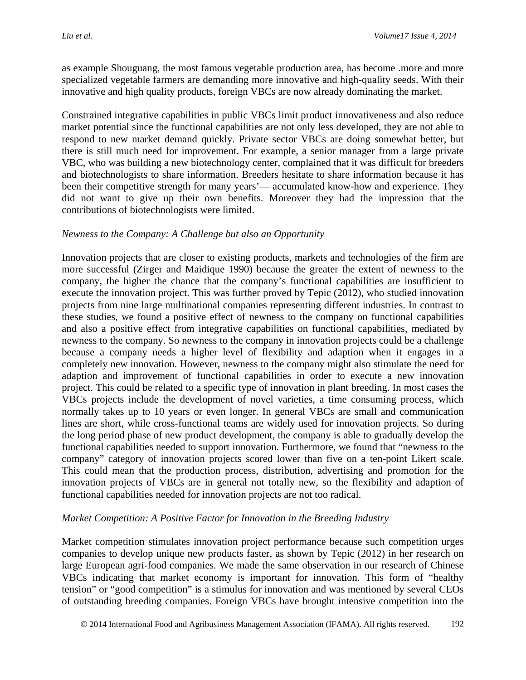as example Shouguang, the most famous vegetable production area, has become .more and more specialized vegetable farmers are demanding more innovative and high-quality seeds. With their innovative and high quality products, foreign VBCs are now already dominating the market.

Constrained integrative capabilities in public VBCs limit product innovativeness and also reduce market potential since the functional capabilities are not only less developed, they are not able to respond to new market demand quickly. Private sector VBCs are doing somewhat better, but there is still much need for improvement. For example, a senior manager from a large private VBC, who was building a new biotechnology center, complained that it was difficult for breeders and biotechnologists to share information. Breeders hesitate to share information because it has been their competitive strength for many years'— accumulated know-how and experience. They did not want to give up their own benefits. Moreover they had the impression that the contributions of biotechnologists were limited.

#### *Newness to the Company: A Challenge but also an Opportunity*

Innovation projects that are closer to existing products, markets and technologies of the firm are more successful [\(Zirger and Maidique 1990\)](#page-24-7) because the greater the extent of newness to the company, the higher the chance that the company's functional capabilities are insufficient to execute the innovation project. This was further proved by [Tepic \(2012\)](#page-23-7), who studied innovation projects from nine large multinational companies representing different industries. In contrast to these studies, we found a positive effect of newness to the company on functional capabilities and also a positive effect from integrative capabilities on functional capabilities, mediated by newness to the company. So newness to the company in innovation projects could be a challenge because a company needs a higher level of flexibility and adaption when it engages in a completely new innovation. However, newness to the company might also stimulate the need for adaption and improvement of functional capabilities in order to execute a new innovation project. This could be related to a specific type of innovation in plant breeding. In most cases the VBCs projects include the development of novel varieties, a time consuming process, which normally takes up to 10 years or even longer. In general VBCs are small and communication lines are short, while cross-functional teams are widely used for innovation projects. So during the long period phase of new product development, the company is able to gradually develop the functional capabilities needed to support innovation. Furthermore, we found that "newness to the company" category of innovation projects scored lower than five on a ten-point Likert scale. This could mean that the production process, distribution, advertising and promotion for the innovation projects of VBCs are in general not totally new, so the flexibility and adaption of functional capabilities needed for innovation projects are not too radical.

#### *Market Competition: A Positive Factor for Innovation in the Breeding Industry*

Market competition stimulates innovation project performance because such competition urges companies to develop unique new products faster, as shown by [Tepic \(2012\)](#page-23-7) in her research on large European agri-food companies. We made the same observation in our research of Chinese VBCs indicating that market economy is important for innovation. This form of "healthy tension" or "good competition" is a stimulus for innovation and was mentioned by several CEOs of outstanding breeding companies. Foreign VBCs have brought intensive competition into the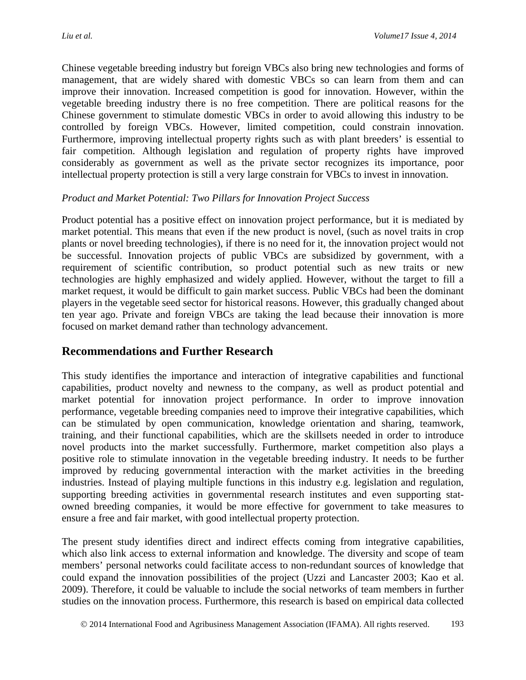Chinese vegetable breeding industry but foreign VBCs also bring new technologies and forms of management, that are widely shared with domestic VBCs so can learn from them and can improve their innovation. Increased competition is good for innovation. However, within the vegetable breeding industry there is no free competition. There are political reasons for the Chinese government to stimulate domestic VBCs in order to avoid allowing this industry to be controlled by foreign VBCs. However, limited competition, could constrain innovation. Furthermore, improving intellectual property rights such as with plant breeders' is essential to fair competition. Although legislation and regulation of property rights have improved considerably as government as well as the private sector recognizes its importance, poor intellectual property protection is still a very large constrain for VBCs to invest in innovation.

#### *Product and Market Potential: Two Pillars for Innovation Project Success*

Product potential has a positive effect on innovation project performance, but it is mediated by market potential. This means that even if the new product is novel, (such as novel traits in crop plants or novel breeding technologies), if there is no need for it, the innovation project would not be successful. Innovation projects of public VBCs are subsidized by government, with a requirement of scientific contribution, so product potential such as new traits or new technologies are highly emphasized and widely applied. However, without the target to fill a market request, it would be difficult to gain market success. Public VBCs had been the dominant players in the vegetable seed sector for historical reasons. However, this gradually changed about ten year ago. Private and foreign VBCs are taking the lead because their innovation is more focused on market demand rather than technology advancement.

# **Recommendations and Further Research**

This study identifies the importance and interaction of integrative capabilities and functional capabilities, product novelty and newness to the company, as well as product potential and market potential for innovation project performance. In order to improve innovation performance, vegetable breeding companies need to improve their integrative capabilities, which can be stimulated by open communication, knowledge orientation and sharing, teamwork, training, and their functional capabilities, which are the skillsets needed in order to introduce novel products into the market successfully. Furthermore, market competition also plays a positive role to stimulate innovation in the vegetable breeding industry. It needs to be further improved by reducing governmental interaction with the market activities in the breeding industries. Instead of playing multiple functions in this industry e.g. legislation and regulation, supporting breeding activities in governmental research institutes and even supporting statowned breeding companies, it would be more effective for government to take measures to ensure a free and fair market, with good intellectual property protection.

The present study identifies direct and indirect effects coming from integrative capabilities, which also link access to external information and knowledge. The diversity and scope of team members' personal networks could facilitate access to non-redundant sources of knowledge that could expand the innovation possibilities of the project [\(Uzzi and Lancaster 2003;](#page-24-8) [Kao et al.](#page-20-12)  [2009\)](#page-20-12). Therefore, it could be valuable to include the social networks of team members in further studies on the innovation process. Furthermore, this research is based on empirical data collected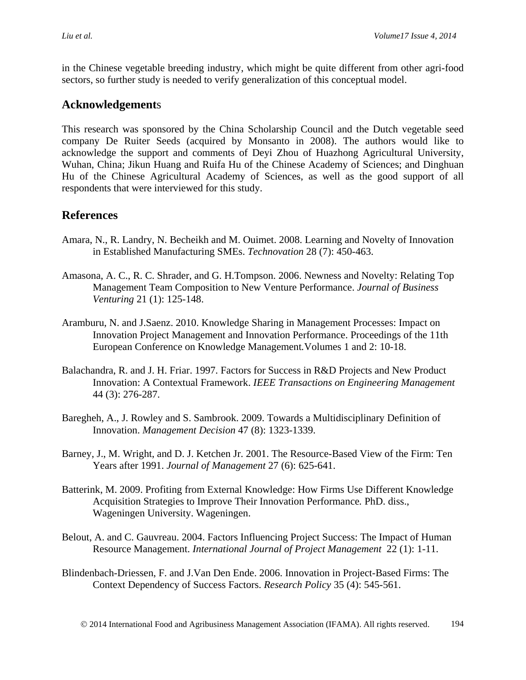in the Chinese vegetable breeding industry, which might be quite different from other agri-food sectors, so further study is needed to verify generalization of this conceptual model.

# **Acknowledgement**s

This research was sponsored by the China Scholarship Council and the Dutch vegetable seed company De Ruiter Seeds (acquired by Monsanto in 2008). The authors would like to acknowledge the support and comments of Deyi Zhou of Huazhong Agricultural University, Wuhan, China; Jikun Huang and Ruifa Hu of the Chinese Academy of Sciences; and Dinghuan Hu of the Chinese Agricultural Academy of Sciences, as well as the good support of all respondents that were interviewed for this study.

# **References**

- <span id="page-17-7"></span>Amara, N., R. Landry, N. Becheikh and M. Ouimet. 2008. Learning and Novelty of Innovation in Established Manufacturing SMEs. *Technovation* 28 (7): 450-463.
- <span id="page-17-6"></span>Amasona, A. C., R. C. Shrader, and G. H.Tompson. 2006. Newness and Novelty: Relating Top Management Team Composition to New Venture Performance. *Journal of Business Venturing* 21 (1): 125-148.
- <span id="page-17-1"></span>Aramburu, N. and J.Saenz. 2010. Knowledge Sharing in Management Processes: Impact on Innovation Project Management and Innovation Performance. Proceedings of the 11th European Conference on Knowledge Management*.*Volumes 1 and 2: 10-18.
- <span id="page-17-2"></span>Balachandra, R. and J. H. Friar. 1997. Factors for Success in R&D Projects and New Product Innovation: A Contextual Framework. *IEEE Transactions on Engineering Management* 44 (3): 276-287.
- <span id="page-17-0"></span>Baregheh, A., J. Rowley and S. Sambrook. 2009. Towards a Multidisciplinary Definition of Innovation. *Management Decision* 47 (8): 1323-1339.
- <span id="page-17-3"></span>Barney, J., M. Wright, and D. J. Ketchen Jr. 2001. The Resource-Based View of the Firm: Ten Years after 1991. *Journal of Management* 27 (6): 625-641.
- <span id="page-17-8"></span>Batterink, M. 2009. Profiting from External Knowledge: How Firms Use Different Knowledge Acquisition Strategies to Improve Their Innovation Performance*.* PhD. diss., Wageningen University. Wageningen.
- <span id="page-17-4"></span>Belout, A. and C. Gauvreau. 2004. Factors Influencing Project Success: The Impact of Human Resource Management. *International Journal of Project Management* 22 (1): 1-11.
- <span id="page-17-5"></span>Blindenbach-Driessen, F. and J.Van Den Ende. 2006. Innovation in Project-Based Firms: The Context Dependency of Success Factors. *Research Policy* 35 (4): 545-561.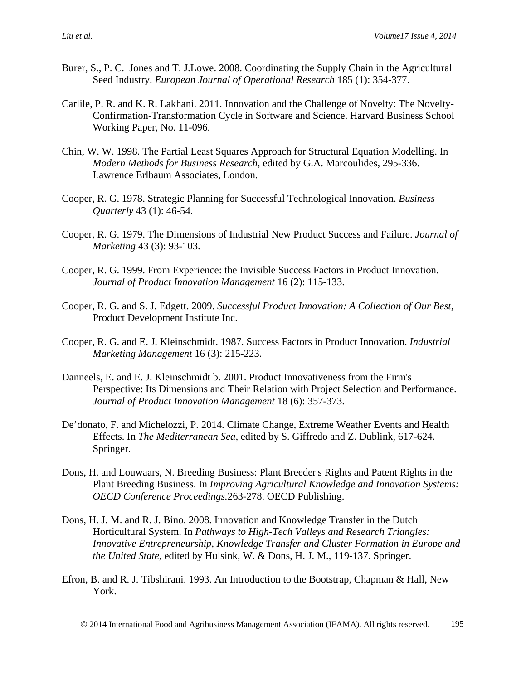- <span id="page-18-4"></span>Burer, S., P. C. Jones and T. J.Lowe. 2008. Coordinating the Supply Chain in the Agricultural Seed Industry. *European Journal of Operational Research* 185 (1): 354-377.
- <span id="page-18-10"></span>Carlile, P. R. and K. R. Lakhani. 2011. Innovation and the Challenge of Novelty: The Novelty-Confirmation-Transformation Cycle in Software and Science. Harvard Business School Working Paper, No. 11-096.
- <span id="page-18-11"></span>Chin, W. W. 1998. The Partial Least Squares Approach for Structural Equation Modelling. In *Modern Methods for Business Research,* edited by G.A. Marcoulides, 295-336. Lawrence Erlbaum Associates, London.
- <span id="page-18-8"></span>Cooper, R. G. 1978. Strategic Planning for Successful Technological Innovation. *Business Quarterly* 43 (1): 46-54.
- <span id="page-18-5"></span>Cooper, R. G. 1979. The Dimensions of Industrial New Product Success and Failure. *Journal of Marketing* 43 (3): 93-103.
- <span id="page-18-7"></span>Cooper, R. G. 1999. From Experience: the Invisible Success Factors in Product Innovation. *Journal of Product Innovation Management* 16 (2): 115-133.
- <span id="page-18-1"></span>Cooper, R. G. and S. J. Edgett. 2009. *Successful Product Innovation: A Collection of Our Best*, Product Development Institute Inc.
- <span id="page-18-6"></span>Cooper, R. G. and E. J. Kleinschmidt. 1987. Success Factors in Product Innovation. *Industrial Marketing Management* 16 (3): 215-223.
- <span id="page-18-9"></span>Danneels, E. and E. J. Kleinschmidt b. 2001. Product Innovativeness from the Firm's Perspective: Its Dimensions and Their Relation with Project Selection and Performance. *Journal of Product Innovation Management* 18 (6): 357-373.
- <span id="page-18-2"></span>De'donato, F. and Michelozzi, P. 2014. Climate Change, Extreme Weather Events and Health Effects. In *The Mediterranean Sea,* edited by S. Giffredo and Z. Dublink, 617-624. Springer.
- <span id="page-18-3"></span>Dons, H. and Louwaars, N. Breeding Business: Plant Breeder's Rights and Patent Rights in the Plant Breeding Business. In *Improving Agricultural Knowledge and Innovation Systems: OECD Conference Proceedings.*263-278. OECD Publishing.
- <span id="page-18-0"></span>Dons, H. J. M. and R. J. Bino. 2008. Innovation and Knowledge Transfer in the Dutch Horticultural System. In *Pathways to High-Tech Valleys and Research Triangles: Innovative Entrepreneurship, Knowledge Transfer and Cluster Formation in Europe and the United State,* edited by Hulsink, W. & Dons, H. J. M., 119-137. Springer.
- <span id="page-18-12"></span>Efron, B. and R. J. Tibshirani. 1993. An Introduction to the Bootstrap, Chapman & Hall, New York.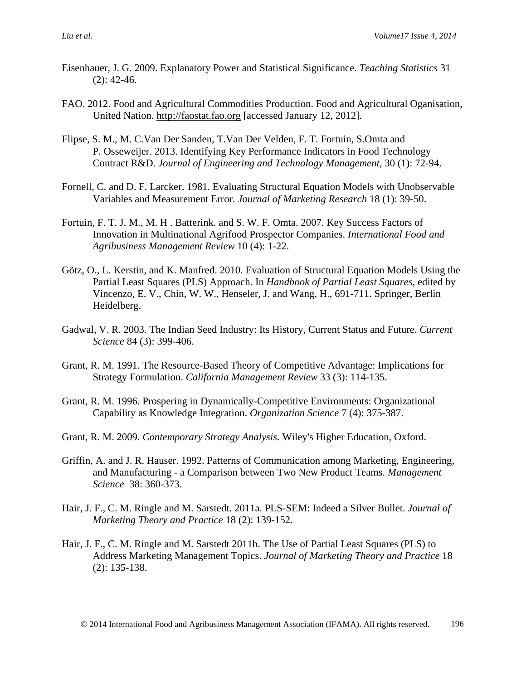- <span id="page-19-11"></span>Eisenhauer, J. G. 2009. Explanatory Power and Statistical Significance. *Teaching Statistics* 31 (2): 42-46.
- <span id="page-19-0"></span>FAO. 2012. Food and Agricultural Commodities Production. Food and Agricultural Oganisation, United Nation. [http://faostat.fao.org](http://faostat.fao.org/) [accessed January 12, 2012].
- <span id="page-19-6"></span>Flipse, S. M., M. C.Van Der Sanden, T.Van Der Velden, F. T. Fortuin, S.Omta and P. Osseweijer. 2013. Identifying Key Performance Indicators in Food Technology Contract R&D. *Journal of Engineering and Technology Management,* 30 (1): 72-94.
- <span id="page-19-10"></span>Fornell, C. and D. F. Larcker. 1981. Evaluating Structural Equation Models with Unobservable Variables and Measurement Error. *Journal of Marketing Research* 18 (1): 39-50.
- <span id="page-19-2"></span>Fortuin, F. T. J. M., M. H . Batterink. and S. W. F. Omta. 2007. Key Success Factors of Innovation in Multinational Agrifood Prospector Companies. *International Food and Agribusiness Management Review* 10 (4): 1-22.
- <span id="page-19-9"></span>Götz, O., L. Kerstin, and K. Manfred. 2010. Evaluation of Structural Equation Models Using the Partial Least Squares (PLS) Approach. In *Handbook of Partial Least Squares*, edited by Vincenzo, E. V., Chin, W. W., Henseler, J. and Wang, H., 691-711. Springer, Berlin Heidelberg.
- <span id="page-19-1"></span>Gadwal, V. R. 2003. The Indian Seed Industry: Its History, Current Status and Future. *Current Science* 84 (3): 399-406.
- <span id="page-19-3"></span>Grant, R. M. 1991. The Resource-Based Theory of Competitive Advantage: Implications for Strategy Formulation. *California Management Review* 33 (3): 114-135.
- Grant, R. M. 1996. Prospering in Dynamically-Competitive Environments: Organizational Capability as Knowledge Integration. *Organization Science* 7 (4): 375-387.
- <span id="page-19-4"></span>Grant, R. M. 2009. *Contemporary Strategy Analysis.* Wiley's Higher Education, Oxford.
- <span id="page-19-5"></span>Griffin, A. and J. R. Hauser. 1992. Patterns of Communication among Marketing, Engineering, and Manufacturing - a Comparison between Two New Product Teams. *Management Science* 38: 360-373.
- <span id="page-19-7"></span>Hair, J. F., C. M. Ringle and M. Sarstedt. 2011a. PLS-SEM: Indeed a Silver Bullet. *Journal of Marketing Theory and Practice* 18 (2): 139-152.
- <span id="page-19-8"></span>Hair, J. F., C. M. Ringle and M. Sarstedt 2011b. The Use of Partial Least Squares (PLS) to Address Marketing Management Topics. *Journal of Marketing Theory and Practice* 18 (2): 135-138.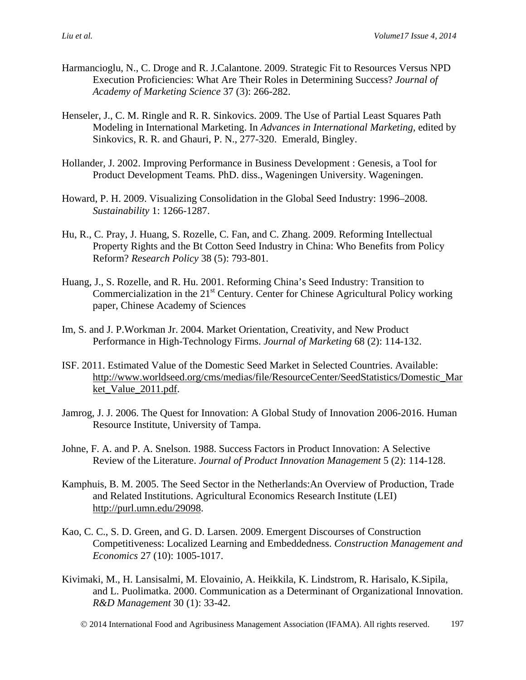- <span id="page-20-6"></span>Harmancioglu, N., C. Droge and R. J.Calantone. 2009. Strategic Fit to Resources Versus NPD Execution Proficiencies: What Are Their Roles in Determining Success? *Journal of Academy of Marketing Science* 37 (3): 266-282.
- <span id="page-20-11"></span>Henseler, J., C. M. Ringle and R. R. Sinkovics. 2009. The Use of Partial Least Squares Path Modeling in International Marketing. In *Advances in International Marketing,* edited by Sinkovics, R. R. and Ghauri, P. N., 277-320. Emerald, Bingley.
- <span id="page-20-10"></span>Hollander, J. 2002. Improving Performance in Business Development : Genesis, a Tool for Product Development Teams*.* PhD. diss., Wageningen University. Wageningen.
- <span id="page-20-2"></span>Howard, P. H. 2009. Visualizing Consolidation in the Global Seed Industry: 1996–2008. *Sustainability* 1: 1266-1287.
- <span id="page-20-1"></span>Hu, R., C. Pray, J. Huang, S. Rozelle, C. Fan, and C. Zhang. 2009. Reforming Intellectual Property Rights and the Bt Cotton Seed Industry in China: Who Benefits from Policy Reform? *Research Policy* 38 (5): 793-801.
- <span id="page-20-4"></span>Huang, J., S. Rozelle, and R. Hu. 2001. Reforming China's Seed Industry: Transition to Commercialization in the  $21<sup>st</sup>$  Century. Center for Chinese Agricultural Policy working paper, Chinese Academy of Sciences
- <span id="page-20-8"></span>Im, S. and J. P.Workman Jr. 2004. Market Orientation, Creativity, and New Product Performance in High-Technology Firms. *Journal of Marketing* 68 (2): 114-132.
- <span id="page-20-9"></span>ISF. 2011. Estimated Value of the Domestic Seed Market in Selected Countries. Available: [http://www.worldseed.org/cms/medias/file/ResourceCenter/SeedStatistics/Domestic\\_Mar](http://www.worldseed.org/cms/medias/file/ResourceCenter/SeedStatistics/Domestic_Market_Value_2011.pdf) ket Value 2011.pdf.
- <span id="page-20-0"></span>Jamrog, J. J. 2006. The Quest for Innovation: A Global Study of Innovation 2006-2016. Human Resource Institute, University of Tampa.
- <span id="page-20-5"></span>Johne, F. A. and P. A. Snelson. 1988. Success Factors in Product Innovation: A Selective Review of the Literature. *Journal of Product Innovation Management* 5 (2): 114-128.
- <span id="page-20-3"></span>Kamphuis, B. M. 2005. The Seed Sector in the Netherlands:An Overview of Production, Trade and Related Institutions. Agricultural Economics Research Institute (LEI) http://purl.umn.edu/29098.
- <span id="page-20-12"></span>Kao, C. C., S. D. Green, and G. D. Larsen. 2009. Emergent Discourses of Construction Competitiveness: Localized Learning and Embeddedness. *Construction Management and Economics* 27 (10): 1005-1017.
- <span id="page-20-7"></span>Kivimaki, M., H. Lansisalmi, M. Elovainio, A. Heikkila, K. Lindstrom, R. Harisalo, K.Sipila, and L. Puolimatka. 2000. Communication as a Determinant of Organizational Innovation. *R&D Management* 30 (1): 33-42.
	- © 2014 International Food and Agribusiness Management Association (IFAMA). All rights reserved. 197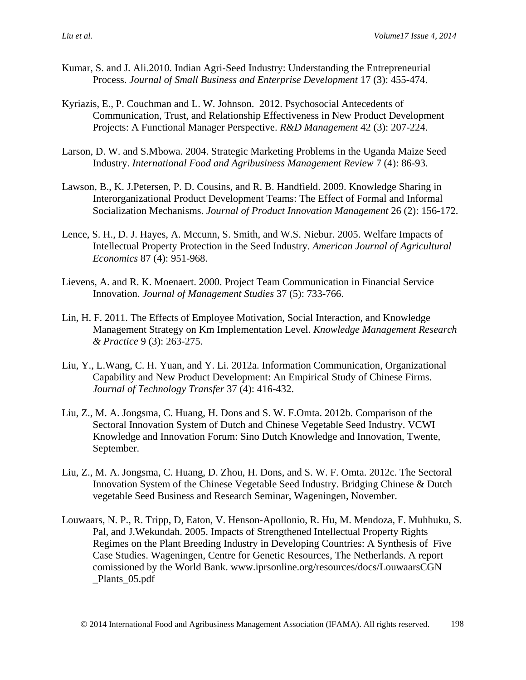- <span id="page-21-2"></span>Kumar, S. and J. Ali.2010. Indian Agri-Seed Industry: Understanding the Entrepreneurial Process. *Journal of Small Business and Enterprise Development* 17 (3): 455-474.
- <span id="page-21-5"></span>Kyriazis, E., P. Couchman and L. W. Johnson. 2012. Psychosocial Antecedents of Communication, Trust, and Relationship Effectiveness in New Product Development Projects: A Functional Manager Perspective. *R&D Management* 42 (3): 207-224.
- <span id="page-21-3"></span>Larson, D. W. and S.Mbowa. 2004. Strategic Marketing Problems in the Uganda Maize Seed Industry. *International Food and Agribusiness Management Review* 7 (4): 86-93.
- <span id="page-21-8"></span>Lawson, B., K. J.Petersen, P. D. Cousins, and R. B. Handfield. 2009. Knowledge Sharing in Interorganizational Product Development Teams: The Effect of Formal and Informal Socialization Mechanisms. *Journal of Product Innovation Management* 26 (2): 156-172.
- <span id="page-21-0"></span>Lence, S. H., D. J. Hayes, A. Mccunn, S. Smith, and W.S. Niebur. 2005. Welfare Impacts of Intellectual Property Protection in the Seed Industry. *American Journal of Agricultural Economics* 87 (4): 951-968.
- <span id="page-21-4"></span>Lievens, A. and R. K. Moenaert. 2000. Project Team Communication in Financial Service Innovation. *Journal of Management Studies* 37 (5): 733-766.
- <span id="page-21-7"></span>Lin, H. F. 2011. The Effects of Employee Motivation, Social Interaction, and Knowledge Management Strategy on Km Implementation Level. *Knowledge Management Research & Practice* 9 (3): 263-275.
- <span id="page-21-6"></span>Liu, Y., L.Wang, C. H. Yuan, and Y. Li. 2012a. Information Communication, Organizational Capability and New Product Development: An Empirical Study of Chinese Firms. *Journal of Technology Transfer* 37 (4): 416-432.
- Liu, Z., M. A. Jongsma, C. Huang, H. Dons and S. W. F.Omta. 2012b. Comparison of the Sectoral Innovation System of Dutch and Chinese Vegetable Seed Industry. VCWI Knowledge and Innovation Forum: Sino Dutch Knowledge and Innovation, Twente, September.
- <span id="page-21-1"></span>Liu, Z., M. A. Jongsma, C. Huang, D. Zhou, H. Dons, and S. W. F. Omta. 2012c. The Sectoral Innovation System of the Chinese Vegetable Seed Industry. Bridging Chinese & Dutch vegetable Seed Business and Research Seminar, Wageningen, November.
- Louwaars, N. P., R. Tripp, D, Eaton, V. Henson-Apollonio, R. Hu, M. Mendoza, F. Muhhuku, S. Pal, and J.Wekundah. 2005. Impacts of Strengthened Intellectual Property Rights Regimes on the Plant Breeding Industry in Developing Countries: A Synthesis of Five Case Studies. Wageningen, Centre for Genetic Resources, The Netherlands. A report comissioned by the World Bank. www.iprsonline.org/resources/docs/LouwaarsCGN \_Plants\_05.pdf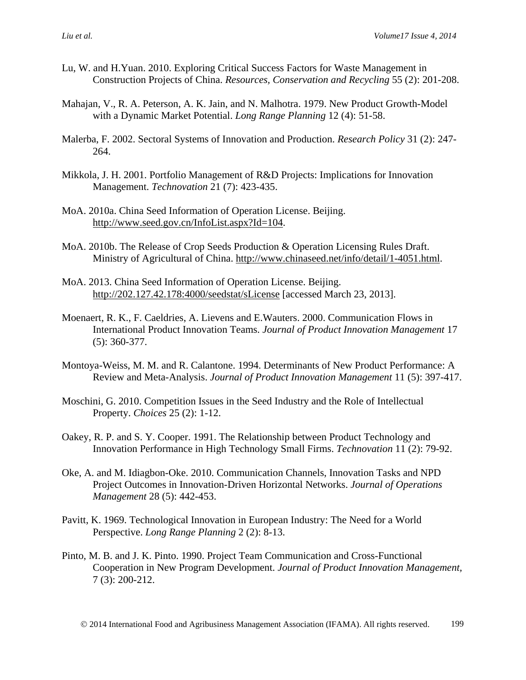- <span id="page-22-3"></span>Lu, W. and H.Yuan. 2010. Exploring Critical Success Factors for Waste Management in Construction Projects of China. *Resources, Conservation and Recycling* 55 (2): 201-208.
- <span id="page-22-8"></span>Mahajan, V., R. A. Peterson, A. K. Jain, and N. Malhotra. 1979. New Product Growth-Model with a Dynamic Market Potential. *Long Range Planning* 12 (4): 51-58.
- <span id="page-22-13"></span>Malerba, F. 2002. Sectoral Systems of Innovation and Production. *Research Policy* 31 (2): 247- 264.
- <span id="page-22-9"></span>Mikkola, J. H. 2001. Portfolio Management of R&D Projects: Implications for Innovation Management. *Technovation* 21 (7): 423-435.
- <span id="page-22-12"></span>MoA. 2010a. China Seed Information of Operation License. Beijing. [http://www.seed.gov.cn/InfoList.aspx?Id=104.](http://www.seed.gov.cn/InfoList.aspx?Id=104)
- <span id="page-22-10"></span>MoA. 2010b. The Release of Crop Seeds Production & Operation Licensing Rules Draft. Ministry of Agricultural of China. [http://www.chinaseed.net/info/detail/1-4051.html.](http://www.chinaseed.net/info/detail/1-4051.html)
- <span id="page-22-11"></span>MoA. 2013. China Seed Information of Operation License. Beijing. <http://202.127.42.178:4000/seedstat/sLicense> [accessed March 23, 2013].
- <span id="page-22-5"></span>Moenaert, R. K., F. Caeldries, A. Lievens and E.Wauters. 2000. Communication Flows in International Product Innovation Teams. *Journal of Product Innovation Management* 17 (5): 360-377.
- <span id="page-22-4"></span>Montoya-Weiss, M. M. and R. Calantone. 1994. Determinants of New Product Performance: A Review and Meta-Analysis. *Journal of Product Innovation Management* 11 (5): 397-417.
- <span id="page-22-0"></span>Moschini, G. 2010. Competition Issues in the Seed Industry and the Role of Intellectual Property. *Choices* 25 (2): 1-12.
- <span id="page-22-7"></span>Oakey, R. P. and S. Y. Cooper. 1991. The Relationship between Product Technology and Innovation Performance in High Technology Small Firms. *Technovation* 11 (2): 79-92.
- <span id="page-22-2"></span>Oke, A. and M. Idiagbon-Oke. 2010. Communication Channels, Innovation Tasks and NPD Project Outcomes in Innovation-Driven Horizontal Networks. *Journal of Operations Management* 28 (5): 442-453.
- <span id="page-22-1"></span>Pavitt, K. 1969. Technological Innovation in European Industry: The Need for a World Perspective. *Long Range Planning* 2 (2): 8-13.
- <span id="page-22-6"></span>Pinto, M. B. and J. K. Pinto. 1990. Project Team Communication and Cross-Functional Cooperation in New Program Development. *Journal of Product Innovation Management,* 7 (3): 200-212.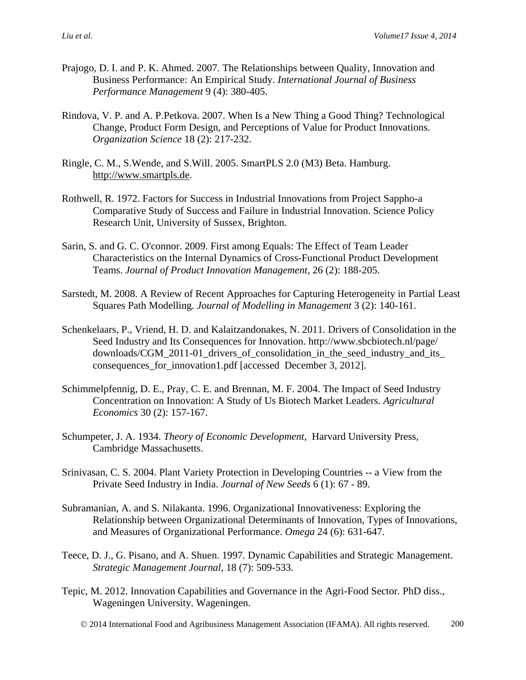- <span id="page-23-10"></span>Prajogo, D. I. and P. K. Ahmed. 2007. The Relationships between Quality, Innovation and Business Performance: An Empirical Study. *International Journal of Business Performance Management* 9 (4): 380-405.
- <span id="page-23-9"></span>Rindova, V. P. and A. P.Petkova. 2007. When Is a New Thing a Good Thing? Technological Change, Product Form Design, and Perceptions of Value for Product Innovations. *Organization Science* 18 (2): 217-232.
- <span id="page-23-12"></span>Ringle, C. M., S.Wende, and S.Will. 2005. SmartPLS 2.0 (M3) Beta. Hamburg. [http://www.smartpls.de.](http://www.smartpls.de/)
- <span id="page-23-4"></span>Rothwell, R. 1972. Factors for Success in Industrial Innovations from Project Sappho-a Comparative Study of Success and Failure in Industrial Innovation. Science Policy Research Unit, University of Sussex, Brighton.
- <span id="page-23-8"></span>Sarin, S. and G. C. O'connor. 2009. First among Equals: The Effect of Team Leader Characteristics on the Internal Dynamics of Cross-Functional Product Development Teams. *Journal of Product Innovation Management,* 26 (2): 188-205.
- <span id="page-23-11"></span>Sarstedt, M. 2008. A Review of Recent Approaches for Capturing Heterogeneity in Partial Least Squares Path Modelling. *Journal of Modelling in Management* 3 (2): 140-161.
- <span id="page-23-2"></span>Schenkelaars, P., Vriend, H. D. and Kalaitzandonakes, N. 2011. Drivers of Consolidation in the Seed Industry and Its Consequences for Innovation. http://www.sbcbiotech.nl/page/ downloads/CGM\_2011-01\_drivers\_of\_consolidation\_in\_the\_seed\_industry\_and\_its\_ consequences\_for\_innovation1.pdf [accessed December 3, 2012].
- <span id="page-23-1"></span>Schimmelpfennig, D. E., Pray, C. E. and Brennan, M. F. 2004. The Impact of Seed Industry Concentration on Innovation: A Study of Us Biotech Market Leaders. *Agricultural Economics* 30 (2): 157-167.
- <span id="page-23-3"></span>Schumpeter, J. A. 1934. *Theory of Economic Development*, Harvard University Press*,*  Cambridge Massachusetts.
- <span id="page-23-0"></span>Srinivasan, C. S. 2004. Plant Variety Protection in Developing Countries -- a View from the Private Seed Industry in India. *Journal of New Seeds* 6 (1): 67 - 89.
- <span id="page-23-6"></span>Subramanian, A. and S. Nilakanta. 1996. Organizational Innovativeness: Exploring the Relationship between Organizational Determinants of Innovation, Types of Innovations, and Measures of Organizational Performance. *Omega* 24 (6): 631-647.
- <span id="page-23-5"></span>Teece, D. J., G. Pisano, and A. Shuen. 1997. Dynamic Capabilities and Strategic Management. *Strategic Management Journal,* 18 (7): 509-533.
- <span id="page-23-7"></span>Tepic, M. 2012. Innovation Capabilities and Governance in the Agri-Food Sector*.* PhD diss., Wageningen University. Wageningen.
	- 2014 International Food and Agribusiness Management Association (IFAMA). All rights reserved. 200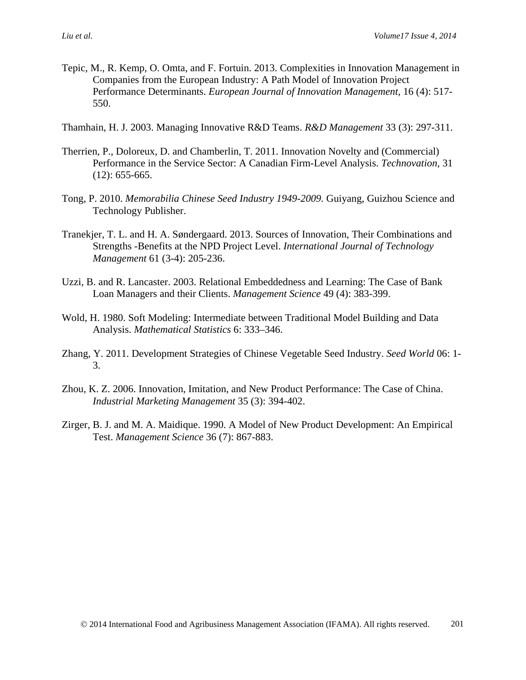- <span id="page-24-1"></span>Tepic, M., R. Kemp, O. Omta, and F. Fortuin. 2013. Complexities in Innovation Management in Companies from the European Industry: A Path Model of Innovation Project Performance Determinants. *European Journal of Innovation Management,* 16 (4): 517- 550.
- <span id="page-24-4"></span>Thamhain, H. J. 2003. Managing Innovative R&D Teams. *R&D Management* 33 (3): 297-311.
- <span id="page-24-3"></span>Therrien, P., Doloreux, D. and Chamberlin, T. 2011. Innovation Novelty and (Commercial) Performance in the Service Sector: A Canadian Firm-Level Analysis. *Technovation,* 31  $(12): 655-665.$
- <span id="page-24-5"></span>Tong, P. 2010. *Memorabilia Chinese Seed Industry 1949-2009.* Guiyang, Guizhou Science and Technology Publisher.
- <span id="page-24-0"></span>Tranekjer, T. L. and H. A. Søndergaard. 2013. Sources of Innovation, Their Combinations and Strengths -Benefits at the NPD Project Level. *International Journal of Technology Management* 61 (3-4): 205-236.
- <span id="page-24-8"></span>Uzzi, B. and R. Lancaster. 2003. Relational Embeddedness and Learning: The Case of Bank Loan Managers and their Clients. *Management Science* 49 (4): 383-399.
- <span id="page-24-6"></span>Wold, H. 1980. Soft Modeling: Intermediate between Traditional Model Building and Data Analysis. *Mathematical Statistics* 6: 333–346.
- Zhang, Y. 2011. Development Strategies of Chinese Vegetable Seed Industry. *Seed World* 06: 1- 3.
- <span id="page-24-2"></span>Zhou, K. Z. 2006. Innovation, Imitation, and New Product Performance: The Case of China. *Industrial Marketing Management* 35 (3): 394-402.
- <span id="page-24-7"></span>Zirger, B. J. and M. A. Maidique. 1990. A Model of New Product Development: An Empirical Test. *Management Science* 36 (7): 867-883.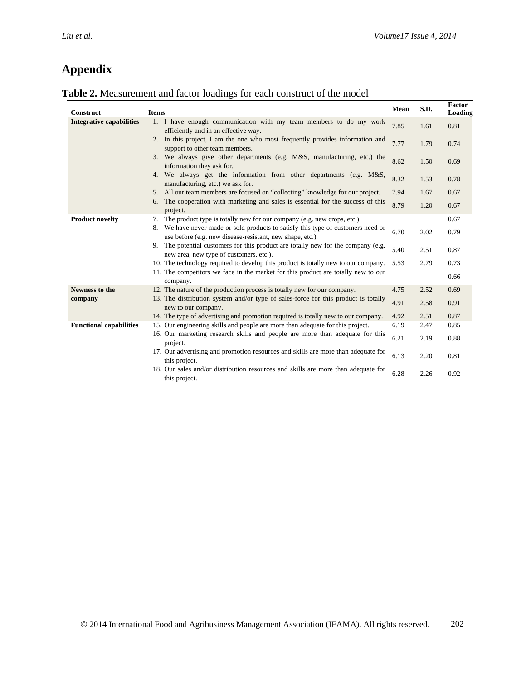# **Appendix**

| Table 2. Measurement and factor loadings for each construct of the model |
|--------------------------------------------------------------------------|
|--------------------------------------------------------------------------|

| Construct                       | <b>Items</b>                                                                                                                                  | Mean | S.D. | Factor<br>Loading |
|---------------------------------|-----------------------------------------------------------------------------------------------------------------------------------------------|------|------|-------------------|
| <b>Integrative capabilities</b> | 1. I have enough communication with my team members to do my work<br>efficiently and in an effective way.                                     | 7.85 | 1.61 | 0.81              |
|                                 | 2. In this project, I am the one who most frequently provides information and<br>support to other team members.                               | 7.77 | 1.79 | 0.74              |
|                                 | 3. We always give other departments (e.g. M&S, manufacturing, etc.) the<br>information they ask for.                                          | 8.62 | 1.50 | 0.69              |
|                                 | 4. We always get the information from other departments (e.g. M&S,<br>manufacturing, etc.) we ask for.                                        | 8.32 | 1.53 | 0.78              |
|                                 | 5. All our team members are focused on "collecting" knowledge for our project.                                                                | 7.94 | 1.67 | 0.67              |
|                                 | 6. The cooperation with marketing and sales is essential for the success of this<br>project.                                                  | 8.79 | 1.20 | 0.67              |
| <b>Product novelty</b>          | The product type is totally new for our company (e.g. new crops, etc.).<br>7.                                                                 |      |      | 0.67              |
|                                 | 8. We have never made or sold products to satisfy this type of customers need or<br>use before (e.g. new disease-resistant, new shape, etc.). | 6.70 | 2.02 | 0.79              |
|                                 | 9. The potential customers for this product are totally new for the company (e.g.<br>new area, new type of customers, etc.).                  | 5.40 | 2.51 | 0.87              |
|                                 | 10. The technology required to develop this product is totally new to our company.                                                            | 5.53 | 2.79 | 0.73              |
|                                 | 11. The competitors we face in the market for this product are totally new to our<br>company.                                                 |      |      | 0.66              |
| <b>Newness to the</b>           | 12. The nature of the production process is totally new for our company.                                                                      | 4.75 | 2.52 | 0.69              |
| company                         | 13. The distribution system and/or type of sales-force for this product is totally<br>new to our company.                                     | 4.91 | 2.58 | 0.91              |
|                                 | 14. The type of advertising and promotion required is totally new to our company.                                                             | 4.92 | 2.51 | 0.87              |
| <b>Functional capabilities</b>  | 15. Our engineering skills and people are more than adequate for this project.                                                                | 6.19 | 2.47 | 0.85              |
|                                 | 16. Our marketing research skills and people are more than adequate for this<br>project.                                                      | 6.21 | 2.19 | 0.88              |
|                                 | 17. Our advertising and promotion resources and skills are more than adequate for<br>this project.                                            | 6.13 | 2.20 | 0.81              |
|                                 | 18. Our sales and/or distribution resources and skills are more than adequate for<br>this project.                                            | 6.28 | 2.26 | 0.92              |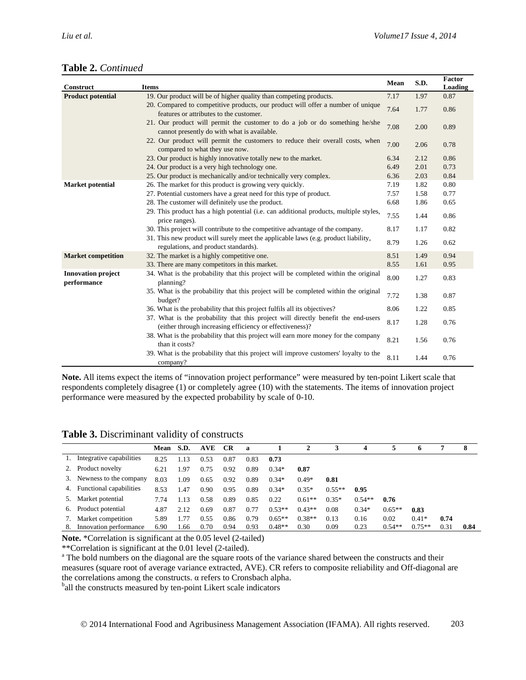|  | Table 2. Continued |
|--|--------------------|
|--|--------------------|

| Construct                                | <b>Items</b>                                                                                                                                  | Mean | S.D. | Factor<br>Loading |
|------------------------------------------|-----------------------------------------------------------------------------------------------------------------------------------------------|------|------|-------------------|
| <b>Product potential</b>                 | 19. Our product will be of higher quality than competing products.                                                                            | 7.17 | 1.97 | 0.87              |
|                                          | 20. Compared to competitive products, our product will offer a number of unique<br>features or attributes to the customer.                    | 7.64 | 1.77 | 0.86              |
|                                          | 21. Our product will permit the customer to do a job or do something he/she<br>cannot presently do with what is available.                    | 7.08 | 2.00 | 0.89              |
|                                          | 22. Our product will permit the customers to reduce their overall costs, when<br>compared to what they use now.                               | 7.00 | 2.06 | 0.78              |
|                                          | 23. Our product is highly innovative totally new to the market.                                                                               | 6.34 | 2.12 | 0.86              |
|                                          | 24. Our product is a very high technology one.                                                                                                | 6.49 | 2.01 | 0.73              |
|                                          | 25. Our product is mechanically and/or technically very complex.                                                                              | 6.36 | 2.03 | 0.84              |
| <b>Market potential</b>                  | 26. The market for this product is growing very quickly.                                                                                      | 7.19 | 1.82 | 0.80              |
|                                          | 27. Potential customers have a great need for this type of product.                                                                           | 7.57 | 1.58 | 0.77              |
|                                          | 28. The customer will definitely use the product.                                                                                             | 6.68 | 1.86 | 0.65              |
|                                          | 29. This product has a high potential (i.e. can additional products, multiple styles,<br>price ranges).                                       | 7.55 | 1.44 | 0.86              |
|                                          | 30. This project will contribute to the competitive advantage of the company.                                                                 | 8.17 | 1.17 | 0.82              |
|                                          | 31. This new product will surely meet the applicable laws (e.g. product liability,<br>regulations, and product standards).                    | 8.79 | 1.26 | 0.62              |
| <b>Market competition</b>                | 32. The market is a highly competitive one.                                                                                                   | 8.51 | 1.49 | 0.94              |
|                                          | 33. There are many competitors in this market.                                                                                                | 8.55 | 1.61 | 0.95              |
| <b>Innovation project</b><br>performance | 34. What is the probability that this project will be completed within the original<br>planning?                                              | 8.00 | 1.27 | 0.83              |
|                                          | 35. What is the probability that this project will be completed within the original<br>budget?                                                | 7.72 | 1.38 | 0.87              |
|                                          | 36. What is the probability that this project fulfils all its objectives?                                                                     | 8.06 | 1.22 | 0.85              |
|                                          | 37. What is the probability that this project will directly benefit the end-users<br>(either through increasing efficiency or effectiveness)? | 8.17 | 1.28 | 0.76              |
|                                          | 38. What is the probability that this project will earn more money for the company<br>than it costs?                                          | 8.21 | 1.56 | 0.76              |
|                                          | 39. What is the probability that this project will improve customers' loyalty to the<br>company?                                              | 8.11 | 1.44 | 0.76              |

**Note.** All items expect the items of "innovation project performance" were measured by ten-point Likert scale that respondents completely disagree (1) or completely agree (10) with the statements. The items of innovation project performance were measured by the expected probability by scale of 0-10.

**Table 3.** Discriminant validity of constructs

|    |                            | Mean | S.D. | <b>AVE</b> | CR.  | $\mathbf a$ |          | 2        |          | 4        |          | o        |      | 8    |
|----|----------------------------|------|------|------------|------|-------------|----------|----------|----------|----------|----------|----------|------|------|
|    | Integrative capabilities   | 8.25 | 1.13 | 0.53       | 0.87 | 0.83        | 0.73     |          |          |          |          |          |      |      |
| 2. | Product novelty            | 6.21 | 1.97 | 0.75       | 0.92 | 0.89        | $0.34*$  | 0.87     |          |          |          |          |      |      |
| 3. | Newness to the company     | 8.03 | 1.09 | 0.65       | 0.92 | 0.89        | $0.34*$  | $0.49*$  | 0.81     |          |          |          |      |      |
|    | 4. Functional capabilities | 8.53 | 1.47 | 0.90       | 0.95 | 0.89        | $0.34*$  | $0.35*$  | $0.55**$ | 0.95     |          |          |      |      |
| 5. | Market potential           | 7.74 | 1.13 | 0.58       | 0.89 | 0.85        | 0.22     | $0.61**$ | $0.35*$  | $0.54**$ | 0.76     |          |      |      |
| 6. | Product potential          | 4.87 | 2.12 | 0.69       | 0.87 | 0.77        | $0.53**$ | $0.43**$ | 0.08     | $0.34*$  | $0.65**$ | 0.83     |      |      |
| 7. | Market competition         | 5.89 | 1.77 | 0.55       | 0.86 | 0.79        | $0.65**$ | $0.38**$ | 0.13     | 0.16     | 0.02     | $0.41*$  | 0.74 |      |
| 8. | Innovation performance     | 6.90 | 1.66 | 0.70       | 0.94 | 0.93        | $0.48**$ | 0.30     | 0.09     | 0.23     | $0.54**$ | $0.75**$ | 0.31 | 0.84 |

**Note.** \*Correlation is significant at the 0.05 level (2-tailed) \*\*Correlation is significant at the 0.01 level (2-tailed).

<sup>a</sup> The bold numbers on the diagonal are the square roots of the variance shared between the constructs and their measures (square root of average variance extracted, AVE). CR refers to composite reliability and Off-diagonal are the correlations among the constructs.  $α$  refers to Cronsbach alpha.

<sup>b</sup>all the constructs measured by ten-point Likert scale indicators